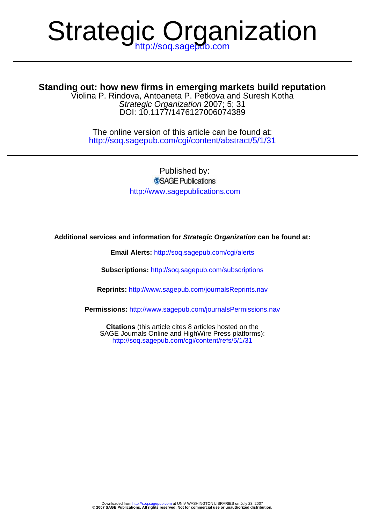# Strategic Organization

### **Standing out: how new firms in emerging markets build reputation**

DOI: 10.1177/1476127006074389 Strategic Organization 2007; 5; 31 Violina P. Rindova, Antoaneta P. Petkova and Suresh Kotha

http://soq.sagepub.com/cgi/content/abstract/5/1/31 The online version of this article can be found at:

> Published by: SSAGE Publications http://www.sagepublications.com

**Additional services and information for Strategic Organization can be found at:**

**Email Alerts:** <http://soq.sagepub.com/cgi/alerts>

**Subscriptions:** <http://soq.sagepub.com/subscriptions>

**Reprints:** <http://www.sagepub.com/journalsReprints.nav>

**Permissions:** <http://www.sagepub.com/journalsPermissions.nav>

<http://soq.sagepub.com/cgi/content/refs/5/1/31> SAGE Journals Online and HighWire Press platforms): **Citations** (this article cites 8 articles hosted on the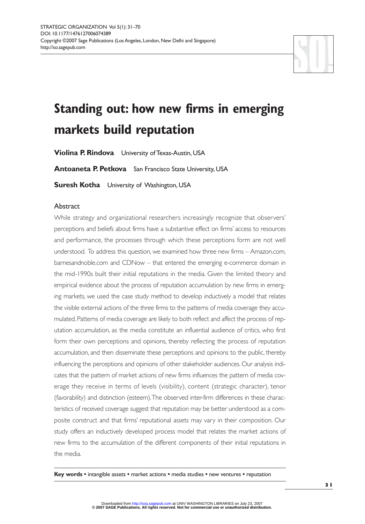## **Standing out: how new firms in emerging markets build reputation**

**Violina P. Rindova** University of Texas-Austin, USA

**Antoaneta P. Petkova** San Francisco State University, USA

**Suresh Kotha** University of Washington, USA

#### **Abstract**

While strategy and organizational researchers increasingly recognize that observers' perceptions and beliefs about firms have a substantive effect on firms' access to resources and performance, the processes through which these perceptions form are not well understood. To address this question, we examined how three new firms – Amazon.com, barnesandnoble.com and CDNow – that entered the emerging e-commerce domain in the mid-1990s built their initial reputations in the media. Given the limited theory and empirical evidence about the process of reputation accumulation by new firms in emerging markets, we used the case study method to develop inductively a model that relates the visible external actions of the three firms to the patterns of media coverage they accumulated. Patterns of media coverage are likely to both reflect and affect the process of reputation accumulation, as the media constitute an influential audience of critics, who first form their own perceptions and opinions, thereby reflecting the process of reputation accumulation, and then disseminate these perceptions and opinions to the public, thereby influencing the perceptions and opinions of other stakeholder audiences. Our analysis indicates that the pattern of market actions of new firms influences the pattern of media coverage they receive in terms of levels (visibility), content (strategic character), tenor (favorability) and distinction (esteem).The observed inter-firm differences in these characteristics of received coverage suggest that reputation may be better understood as a composite construct and that firms' reputational assets may vary in their composition. Our study offers an inductively developed process model that relates the market actions of new firms to the accumulation of the different components of their initial reputations in the media.

**Key words •** intangible assets **•** market actions **•** media studies **•** new ventures **•** reputation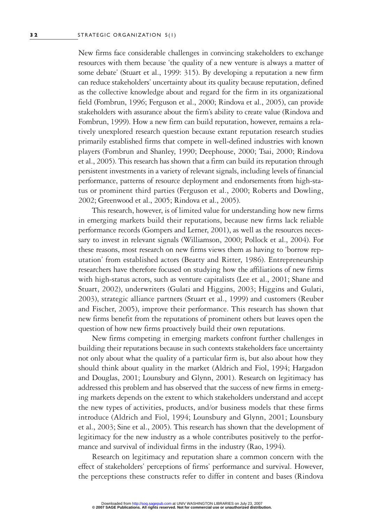New firms face considerable challenges in convincing stakeholders to exchange resources with them because 'the quality of a new venture is always a matter of some debate' (Stuart et al., 1999: 315). By developing a reputation a new firm can reduce stakeholders' uncertainty about its quality because reputation, defined as the collective knowledge about and regard for the firm in its organizational field (Fombrun, 1996; Ferguson et al., 2000; Rindova et al., 2005), can provide stakeholders with assurance about the firm's ability to create value (Rindova and Fombrun, 1999). How a new firm can build reputation, however, remains a relatively unexplored research question because extant reputation research studies primarily established firms that compete in well-defined industries with known players (Fombrun and Shanley, 1990; Deephouse, 2000; Tsai, 2000; Rindova et al., 2005). This research has shown that a firm can build its reputation through persistent investments in a variety of relevant signals, including levels of financial performance, patterns of resource deployment and endorsements from high-status or prominent third parties (Ferguson et al., 2000; Roberts and Dowling, 2002; Greenwood et al., 2005; Rindova et al., 2005).

This research, however, is of limited value for understanding how new firms in emerging markets build their reputations, because new firms lack reliable performance records (Gompers and Lerner, 2001), as well as the resources necessary to invest in relevant signals (Williamson, 2000; Pollock et al., 2004). For these reasons, most research on new firms views them as having to 'borrow reputation' from established actors (Beatty and Ritter, 1986). Entrepreneurship researchers have therefore focused on studying how the affiliations of new firms with high-status actors, such as venture capitalists (Lee et al., 2001; Shane and Stuart, 2002), underwriters (Gulati and Higgins, 2003; Higgins and Gulati, 2003), strategic alliance partners (Stuart et al., 1999) and customers (Reuber and Fischer, 2005), improve their performance. This research has shown that new firms benefit from the reputations of prominent others but leaves open the question of how new firms proactively build their own reputations.

New firms competing in emerging markets confront further challenges in building their reputations because in such contexts stakeholders face uncertainty not only about what the quality of a particular firm is, but also about how they should think about quality in the market (Aldrich and Fiol, 1994; Hargadon and Douglas, 2001; Lounsbury and Glynn, 2001). Research on legitimacy has addressed this problem and has observed that the success of new firms in emerging markets depends on the extent to which stakeholders understand and accept the new types of activities, products, and/or business models that these firms introduce (Aldrich and Fiol, 1994; Lounsbury and Glynn, 2001; Lounsbury et al., 2003; Sine et al., 2005). This research has shown that the development of legitimacy for the new industry as a whole contributes positively to the performance and survival of individual firms in the industry (Rao, 1994).

Research on legitimacy and reputation share a common concern with the effect of stakeholders' perceptions of firms' performance and survival. However, the perceptions these constructs refer to differ in content and bases (Rindova

**<sup>© 2007</sup> SAGE Publications. All rights reserved. Not for commercial use or unauthorized distribution.** Downloaded from [http://soq.sagepub.com a](http://soq.sagepub.com)t UNIV WASHINGTON LIBRARIES on July 23, 2007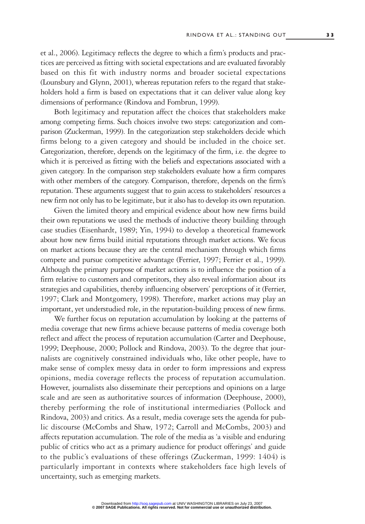et al., 2006). Legitimacy reflects the degree to which a firm's products and practices are perceived as fitting with societal expectations and are evaluated favorably based on this fit with industry norms and broader societal expectations (Lounsbury and Glynn, 2001), whereas reputation refers to the regard that stakeholders hold a firm is based on expectations that it can deliver value along key dimensions of performance (Rindova and Fombrun, 1999).

Both legitimacy and reputation affect the choices that stakeholders make among competing firms. Such choices involve two steps: categorization and comparison (Zuckerman, 1999). In the categorization step stakeholders decide which firms belong to a given category and should be included in the choice set. Categorization, therefore, depends on the legitimacy of the firm, i.e. the degree to which it is perceived as fitting with the beliefs and expectations associated with a given category. In the comparison step stakeholders evaluate how a firm compares with other members of the category. Comparison, therefore, depends on the firm's reputation. These arguments suggest that to gain access to stakeholders' resources a new firm not only has to be legitimate, but it also has to develop its own reputation.

Given the limited theory and empirical evidence about how new firms build their own reputations we used the methods of inductive theory building through case studies (Eisenhardt, 1989; Yin, 1994) to develop a theoretical framework about how new firms build initial reputations through market actions. We focus on market actions because they are the central mechanism through which firms compete and pursue competitive advantage (Ferrier, 1997; Ferrier et al., 1999). Although the primary purpose of market actions is to influence the position of a firm relative to customers and competitors, they also reveal information about its strategies and capabilities, thereby influencing observers' perceptions of it (Ferrier, 1997; Clark and Montgomery, 1998). Therefore, market actions may play an important, yet understudied role, in the reputation-building process of new firms.

We further focus on reputation accumulation by looking at the patterns of media coverage that new firms achieve because patterns of media coverage both reflect and affect the process of reputation accumulation (Carter and Deephouse, 1999; Deephouse, 2000; Pollock and Rindova, 2003). To the degree that journalists are cognitively constrained individuals who, like other people, have to make sense of complex messy data in order to form impressions and express opinions, media coverage reflects the process of reputation accumulation. However, journalists also disseminate their perceptions and opinions on a large scale and are seen as authoritative sources of information (Deephouse, 2000), thereby performing the role of institutional intermediaries (Pollock and Rindova, 2003) and critics. As a result, media coverage sets the agenda for public discourse (McCombs and Shaw, 1972; Carroll and McCombs, 2003) and affects reputation accumulation. The role of the media as 'a visible and enduring public of critics who act as a primary audience for product offerings' and guide to the public's evaluations of these offerings (Zuckerman, 1999: 1404) is particularly important in contexts where stakeholders face high levels of uncertainty, such as emerging markets.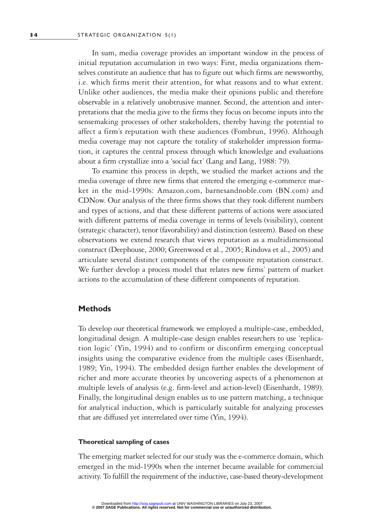In sum, media coverage provides an important window in the process of initial reputation accumulation in two ways: First, media organizations themselves constitute an audience that has to figure out which firms are newsworthy, i.e. which firms merit their attention, for what reasons and to what extent. Unlike other audiences, the media make their opinions public and therefore observable in a relatively unobtrusive manner. Second, the attention and interpretations that the media give to the firms they focus on become inputs into the sensemaking processes of other stakeholders, thereby having the potential to affect a firm's reputation with these audiences (Fombrun, 1996). Although media coverage may not capture the totality of stakeholder impression formation, it captures the central process through which knowledge and evaluations about a firm crystallize into a 'social fact' (Lang and Lang, 1988: 79).

To examine this process in depth, we studied the market actions and the media coverage of three new firms that entered the emerging e-commerce market in the mid-1990s: Amazon.com, barnesandnoble.com (BN.com) and CDNow. Our analysis of the three firms shows that they took different numbers and types of actions, and that these different patterns of actions were associated with different patterns of media coverage in terms of levels (visibility), content (strategic character), tenor (favorability) and distinction (esteem). Based on these observations we extend research that views reputation as a multidimensional construct (Deephouse, 2000; Greenwood et al., 2005; Rindova et al., 2005) and articulate several distinct components of the composite reputation construct. We further develop a process model that relates new firms' pattern of market actions to the accumulation of these different components of reputation.

#### **Methods**

To develop our theoretical framework we employed a multiple-case, embedded, longitudinal design. A multiple-case design enables researchers to use 'replication logic' (Yin, 1994) and to confirm or disconfirm emerging conceptual insights using the comparative evidence from the multiple cases (Eisenhardt, 1989; Yin, 1994). The embedded design further enables the development of richer and more accurate theories by uncovering aspects of a phenomenon at multiple levels of analysis (e.g. firm-level and action-level) (Eisenhardt, 1989). Finally, the longitudinal design enables us to use pattern matching, a technique for analytical induction, which is particularly suitable for analyzing processes that are diffused yet interrelated over time (Yin, 1994).

#### **Theoretical sampling of cases**

The emerging market selected for our study was the e-commerce domain, which emerged in the mid-1990s when the internet became available for commercial activity. To fulfill the requirement of the inductive, case-based theory-development

**<sup>© 2007</sup> SAGE Publications. All rights reserved. Not for commercial use or unauthorized distribution.** Downloaded from [http://soq.sagepub.com a](http://soq.sagepub.com)t UNIV WASHINGTON LIBRARIES on July 23, 2007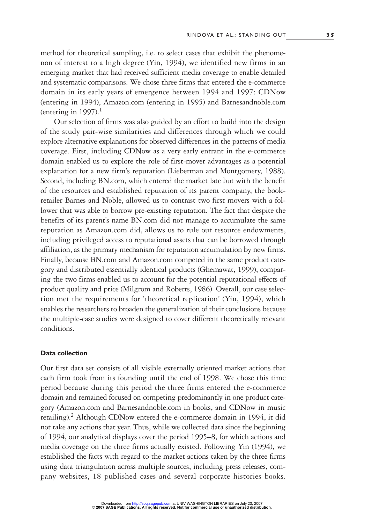method for theoretical sampling, i.e. to select cases that exhibit the phenomenon of interest to a high degree (Yin, 1994), we identified new firms in an emerging market that had received sufficient media coverage to enable detailed and systematic comparisons. We chose three firms that entered the e-commerce domain in its early years of emergence between 1994 and 1997: CDNow (entering in 1994), Amazon.com (entering in 1995) and Barnesandnoble.com (entering in 1997). $<sup>1</sup>$ </sup>

Our selection of firms was also guided by an effort to build into the design of the study pair-wise similarities and differences through which we could explore alternative explanations for observed differences in the patterns of media coverage. First, including CDNow as a very early entrant in the e-commerce domain enabled us to explore the role of first-mover advantages as a potential explanation for a new firm's reputation (Lieberman and Montgomery, 1988). Second, including BN.com, which entered the market late but with the benefit of the resources and established reputation of its parent company, the bookretailer Barnes and Noble, allowed us to contrast two first movers with a follower that was able to borrow pre-existing reputation. The fact that despite the benefits of its parent's name BN.com did not manage to accumulate the same reputation as Amazon.com did, allows us to rule out resource endowments, including privileged access to reputational assets that can be borrowed through affiliation, as the primary mechanism for reputation accumulation by new firms. Finally, because BN.com and Amazon.com competed in the same product category and distributed essentially identical products (Ghemawat, 1999), comparing the two firms enabled us to account for the potential reputational effects of product quality and price (Milgrom and Roberts, 1986). Overall, our case selection met the requirements for 'theoretical replication' (Yin, 1994), which enables the researchers to broaden the generalization of their conclusions because the multiple-case studies were designed to cover different theoretically relevant conditions.

#### **Data collection**

Our first data set consists of all visible externally oriented market actions that each firm took from its founding until the end of 1998. We chose this time period because during this period the three firms entered the e-commerce domain and remained focused on competing predominantly in one product category (Amazon.com and Barnesandnoble.com in books, and CDNow in music retailing).<sup>2</sup> Although CDNow entered the e-commerce domain in 1994, it did not take any actions that year. Thus, while we collected data since the beginning of 1994, our analytical displays cover the period 1995–8, for which actions and media coverage on the three firms actually existed. Following Yin (1994), we established the facts with regard to the market actions taken by the three firms using data triangulation across multiple sources, including press releases, company websites, 18 published cases and several corporate histories books.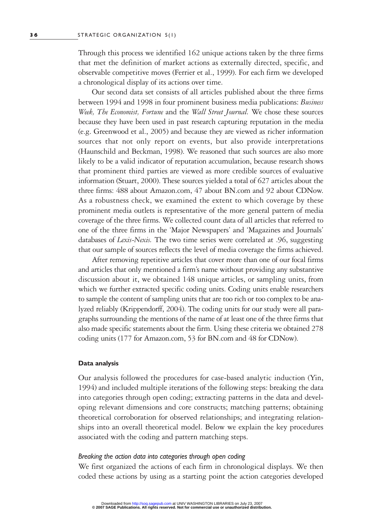Through this process we identified 162 unique actions taken by the three firms that met the definition of market actions as externally directed, specific, and observable competitive moves (Ferrier et al., 1999). For each firm we developed a chronological display of its actions over time.

Our second data set consists of all articles published about the three firms between 1994 and 1998 in four prominent business media publications: *Business Week, The Economist, Fortune* and the *Wall Street Journal.* We chose these sources because they have been used in past research capturing reputation in the media (e.g. Greenwood et al., 2005) and because they are viewed as richer information sources that not only report on events, but also provide interpretations (Haunschild and Beckman, 1998). We reasoned that such sources are also more likely to be a valid indicator of reputation accumulation, because research shows that prominent third parties are viewed as more credible sources of evaluative information (Stuart, 2000). These sources yielded a total of 627 articles about the three firms: 488 about Amazon.com, 47 about BN.com and 92 about CDNow. As a robustness check, we examined the extent to which coverage by these prominent media outlets is representative of the more general pattern of media coverage of the three firms. We collected count data of all articles that referred to one of the three firms in the 'Major Newspapers' and 'Magazines and Journals' databases of *Lexis-Nexis.* The two time series were correlated at .96, suggesting that our sample of sources reflects the level of media coverage the firms achieved.

After removing repetitive articles that cover more than one of our focal firms and articles that only mentioned a firm's name without providing any substantive discussion about it, we obtained 148 unique articles, or sampling units, from which we further extracted specific coding units. Coding units enable researchers to sample the content of sampling units that are too rich or too complex to be analyzed reliably (Krippendorff, 2004). The coding units for our study were all paragraphs surrounding the mentions of the name of at least one of the three firms that also made specific statements about the firm. Using these criteria we obtained 278 coding units (177 for Amazon.com, 53 for BN.com and 48 for CDNow).

#### **Data analysis**

Our analysis followed the procedures for case-based analytic induction (Yin, 1994) and included multiple iterations of the following steps: breaking the data into categories through open coding; extracting patterns in the data and developing relevant dimensions and core constructs; matching patterns; obtaining theoretical corroboration for observed relationships; and integrating relationships into an overall theoretical model. Below we explain the key procedures associated with the coding and pattern matching steps.

#### *Breaking the action data into categories through open coding*

We first organized the actions of each firm in chronological displays. We then coded these actions by using as a starting point the action categories developed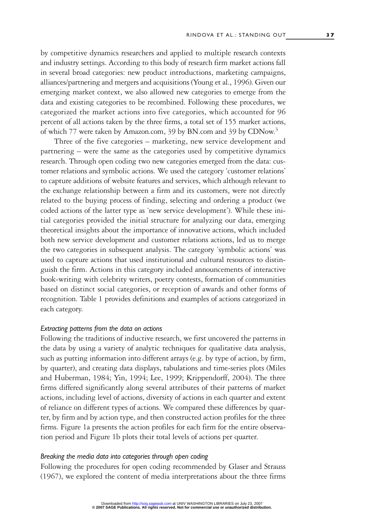by competitive dynamics researchers and applied to multiple research contexts and industry settings. According to this body of research firm market actions fall in several broad categories: new product introductions, marketing campaigns, alliances/partnering and mergers and acquisitions (Young et al., 1996). Given our emerging market context, we also allowed new categories to emerge from the data and existing categories to be recombined. Following these procedures, we categorized the market actions into five categories, which accounted for 96 percent of all actions taken by the three firms, a total set of 155 market actions, of which 77 were taken by Amazon.com, 39 by BN.com and 39 by CDNow.<sup>3</sup>

Three of the five categories – marketing, new service development and partnering – were the same as the categories used by competitive dynamics research. Through open coding two new categories emerged from the data: customer relations and symbolic actions. We used the category 'customer relations' to capture additions of website features and services, which although relevant to the exchange relationship between a firm and its customers, were not directly related to the buying process of finding, selecting and ordering a product (we coded actions of the latter type as 'new service development'). While these initial categories provided the initial structure for analyzing our data, emerging theoretical insights about the importance of innovative actions, which included both new service development and customer relations actions, led us to merge the two categories in subsequent analysis. The category 'symbolic actions' was used to capture actions that used institutional and cultural resources to distinguish the firm. Actions in this category included announcements of interactive book-writing with celebrity writers, poetry contests, formation of communities based on distinct social categories, or reception of awards and other forms of recognition. Table 1 provides definitions and examples of actions categorized in each category.

#### *Extracting patterns from the data on actions*

Following the traditions of inductive research, we first uncovered the patterns in the data by using a variety of analytic techniques for qualitative data analysis, such as putting information into different arrays (e.g. by type of action, by firm, by quarter), and creating data displays, tabulations and time-series plots (Miles and Huberman, 1984; Yin, 1994; Lee, 1999; Krippendorff, 2004). The three firms differed significantly along several attributes of their patterns of market actions, including level of actions, diversity of actions in each quarter and extent of reliance on different types of actions. We compared these differences by quarter, by firm and by action type, and then constructed action profiles for the three firms. Figure 1a presents the action profiles for each firm for the entire observation period and Figure 1b plots their total levels of actions per quarter.

#### *Breaking the media data into categories through open coding*

Following the procedures for open coding recommended by Glaser and Strauss (1967), we explored the content of media interpretations about the three firms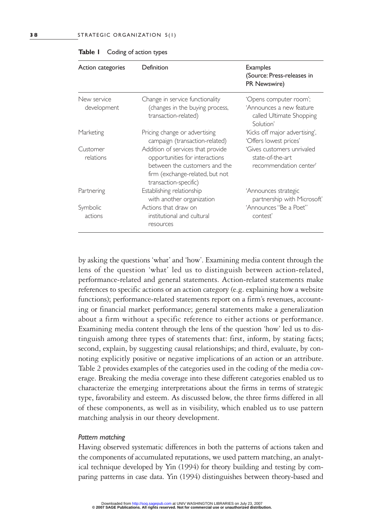| Action categories          | Definition                                                                                                                                                       | <b>Examples</b><br>(Source: Press-releases in<br>PR Newswire)                               |
|----------------------------|------------------------------------------------------------------------------------------------------------------------------------------------------------------|---------------------------------------------------------------------------------------------|
| New service<br>development | Change in service functionality<br>(changes in the buying process,<br>transaction-related)                                                                       | 'Opens computer room';<br>'Announces a new feature<br>called Ultimate Shopping<br>Solution' |
| Marketing                  | Pricing change or advertising<br>campaign (transaction-related)                                                                                                  | 'Kicks off major advertising',<br>'Offers lowest prices'                                    |
| Customer<br>relations      | Addition of services that provide<br>opportunities for interactions<br>between the customers and the<br>firm (exchange-related, but not<br>transaction-specific) | 'Gives customers unrivaled<br>state-of-the-art<br>recommendation center'                    |
| Partnering                 | Establishing relationship<br>with another organization                                                                                                           | 'Announces strategic<br>partnership with Microsoft'                                         |
| Symbolic<br>actions        | Actions that draw on<br>institutional and cultural<br>resources                                                                                                  | 'Announces "Be a Poet"<br>contest'                                                          |

| Table I |  | Coding of action types |
|---------|--|------------------------|
|---------|--|------------------------|

by asking the questions 'what' and 'how'. Examining media content through the lens of the question 'what' led us to distinguish between action-related, performance-related and general statements. Action-related statements make references to specific actions or an action category (e.g. explaining how a website functions); performance-related statements report on a firm's revenues, accounting or financial market performance; general statements make a generalization about a firm without a specific reference to either actions or performance. Examining media content through the lens of the question 'how' led us to distinguish among three types of statements that: first, inform, by stating facts; second, explain, by suggesting causal relationships; and third, evaluate, by connoting explicitly positive or negative implications of an action or an attribute. Table 2 provides examples of the categories used in the coding of the media coverage. Breaking the media coverage into these different categories enabled us to characterize the emerging interpretations about the firms in terms of strategic type, favorability and esteem. As discussed below, the three firms differed in all of these components, as well as in visibility, which enabled us to use pattern matching analysis in our theory development.

#### *Pattern matching*

Having observed systematic differences in both the patterns of actions taken and the components of accumulated reputations, we used pattern matching, an analytical technique developed by Yin (1994) for theory building and testing by comparing patterns in case data. Yin (1994) distinguishes between theory-based and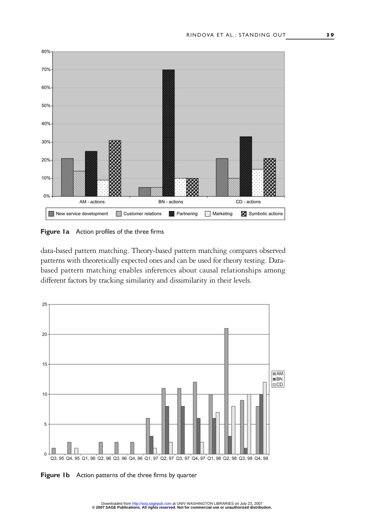

**Figure 1a** Action profiles of the three firms

data-based pattern matching. Theory-based pattern matching compares observed patterns with theoretically expected ones and can be used for theory testing. Databased pattern matching enables inferences about causal relationships among different factors by tracking similarity and dissimilarity in their levels.



**Figure 1b** Action patterns of the three firms by quarter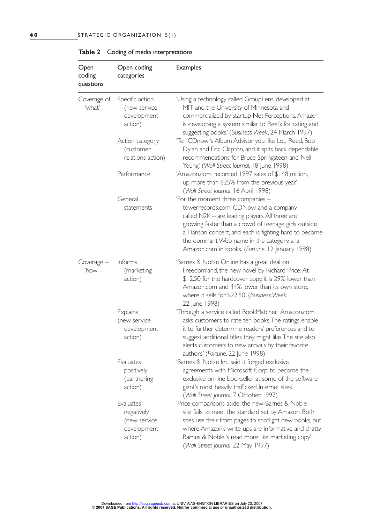| Open<br>coding<br>questions | Open coding<br>categories                                         | <b>Examples</b>                                                                                                                                                                                                                                                                                                                                    |
|-----------------------------|-------------------------------------------------------------------|----------------------------------------------------------------------------------------------------------------------------------------------------------------------------------------------------------------------------------------------------------------------------------------------------------------------------------------------------|
| Coverage of<br>'what'       | Specific action<br>(new service<br>development<br>action)         | 'Using a technology called GroupLens, developed at<br>MIT and the University of Minnesota and<br>commercialized by startup Net Perceptions, Amazon<br>is developing a system similar to Reel's for rating and<br>suggesting books.' (Business Week, 24 March 1997)                                                                                 |
|                             | Action category<br>(customer<br>relations action)                 | 'Tell CDnow 's Album Advisor you like Lou Reed, Bob<br>Dylan and Eric Clapton, and it spits back dependable<br>recommendations for Bruce Springsteen and Neil<br>Young' (Wall Street Journal, 18 June 1998)                                                                                                                                        |
|                             | Performance                                                       | 'Amazon.com recorded 1997 sales of \$148 million,<br>up more than 825% from the previous year.<br>(Wall Street Journal, 16 April 1998)                                                                                                                                                                                                             |
|                             | General<br>statements                                             | 'For the moment three companies -<br>towerrecords.com, CDNow, and a company<br>called N2K - are leading players. All three are<br>growing faster than a crowd of teenage girls outside<br>a Hanson concert, and each is fighting hard to become<br>the dominant Web name in the category, a la<br>Amazon.com in books.' (Fortune, 12 January 1998) |
| Coverage –<br>'how'         | <b>Informs</b><br>(marketing<br>action)                           | 'Barnes & Noble Online has a great deal on<br>Freedomland, the new novel by Richard Price. At<br>\$12.50 for the hardcover copy, it is 29% lower than<br>Amazon.com and 44% lower than its own store,<br>where it sells for \$22.50.' (Business Week,<br>22 June 1998)                                                                             |
|                             | Explains<br>(new service<br>development<br>action)                | 'Through a service called BookMatcher, Amazon.com<br>asks customers to rate ten books. The ratings enable<br>it to further determine readers' preferences and to<br>suggest additional titles they might like. The site also<br>alerts customers to new arrivals by their favorite<br>authors.' (Fortune, 22 June 1998)                            |
|                             | Evaluates<br>positively<br>(partnering<br>action)                 | 'Barnes & Noble Inc. said it forged exclusive<br>agreements with Microsoft Corp. to become the<br>exclusive on-line bookseller at some of the software<br>giant's most heavily trafficked Internet sites.'<br>(Wall Street Journal, 7 October 1997)                                                                                                |
|                             | Evaluates<br>negatively<br>(new service<br>development<br>action) | 'Price comparisons aside, the new Barnes & Noble<br>site fails to meet the standard set by Amazon. Both<br>sites use their front pages to spotlight new books, but<br>where Amazon's write-ups are informative and chatty,<br>Barnes & Noble 's read more like marketing copy'<br>(Wall Street Journal, 22 May 1997)                               |

**Table 2** Coding of media interpretations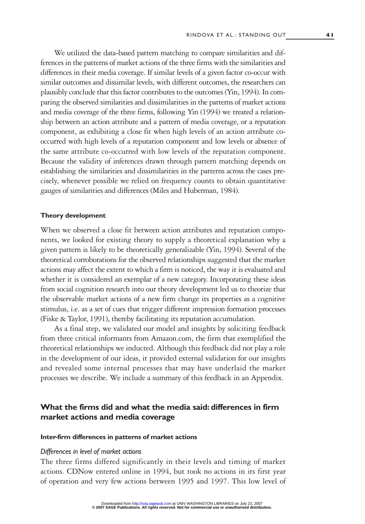We utilized the data-based pattern matching to compare similarities and differences in the patterns of market actions of the three firms with the similarities and differences in their media coverage. If similar levels of a given factor co-occur with similar outcomes and dissimilar levels, with different outcomes, the researchers can plausibly conclude that this factor contributes to the outcomes (Yin, 1994). In comparing the observed similarities and dissimilarities in the patterns of market actions and media coverage of the three firms, following Yin (1994) we treated a relationship between an action attribute and a pattern of media coverage, or a reputation component, as exhibiting a close fit when high levels of an action attribute cooccurred with high levels of a reputation component and low levels or absence of the same attribute co-occurred with low levels of the reputation component. Because the validity of inferences drawn through pattern matching depends on establishing the similarities and dissimilarities in the patterns across the cases precisely, whenever possible we relied on frequency counts to obtain quantitative gauges of similarities and differences (Miles and Huberman, 1984).

#### **Theory development**

When we observed a close fit between action attributes and reputation components, we looked for existing theory to supply a theoretical explanation why a given pattern is likely to be theoretically generalizable (Yin, 1994). Several of the theoretical corroborations for the observed relationships suggested that the market actions may affect the extent to which a firm is noticed, the way it is evaluated and whether it is considered an exemplar of a new category. Incorporating these ideas from social cognition research into our theory development led us to theorize that the observable market actions of a new firm change its properties as a cognitive stimulus, i.e. as a set of cues that trigger different impression formation processes (Fiske & Taylor, 1991), thereby facilitating its reputation accumulation.

As a final step, we validated our model and insights by soliciting feedback from three critical informants from Amazon.com, the firm that exemplified the theoretical relationships we inducted. Although this feedback did not play a role in the development of our ideas, it provided external validation for our insights and revealed some internal processes that may have underlaid the market processes we describe. We include a summary of this feedback in an Appendix.

#### **What the firms did and what the media said: differences in firm market actions and media coverage**

#### **Inter-firm differences in patterns of market actions**

#### *Differences in level of market actions*

The three firms differed significantly in their levels and timing of market actions. CDNow entered online in 1994, but took no actions in its first year of operation and very few actions between 1995 and 1997. This low level of

**© 2007 SAGE Publications. All rights reserved. Not for commercial use or unauthorized distribution.** Downloaded from [http://soq.sagepub.com a](http://soq.sagepub.com)t UNIV WASHINGTON LIBRARIES on July 23, 2007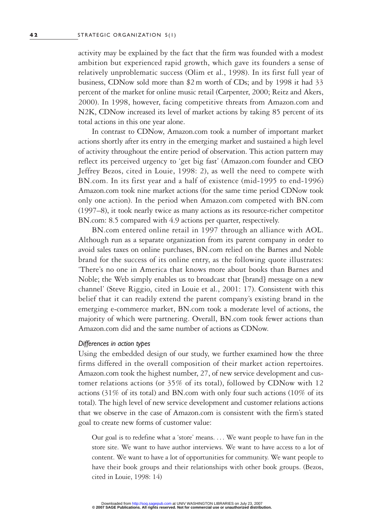activity may be explained by the fact that the firm was founded with a modest ambition but experienced rapid growth, which gave its founders a sense of relatively unproblematic success (Olim et al., 1998). In its first full year of business, CDNow sold more than \$2 m worth of CDs; and by 1998 it had 33 percent of the market for online music retail (Carpenter, 2000; Reitz and Akers, 2000). In 1998, however, facing competitive threats from Amazon.com and N2K, CDNow increased its level of market actions by taking 85 percent of its total actions in this one year alone.

In contrast to CDNow, Amazon.com took a number of important market actions shortly after its entry in the emerging market and sustained a high level of activity throughout the entire period of observation. This action pattern may reflect its perceived urgency to 'get big fast' (Amazon.com founder and CEO Jeffrey Bezos, cited in Louie, 1998: 2), as well the need to compete with BN.com. In its first year and a half of existence (mid-1995 to end-1996) Amazon.com took nine market actions (for the same time period CDNow took only one action). In the period when Amazon.com competed with BN.com (1997–8), it took nearly twice as many actions as its resource-richer competitor BN.com: 8.5 compared with 4.9 actions per quarter, respectively.

BN.com entered online retail in 1997 through an alliance with AOL. Although run as a separate organization from its parent company in order to avoid sales taxes on online purchases, BN.com relied on the Barnes and Noble brand for the success of its online entry, as the following quote illustrates: 'There's no one in America that knows more about books than Barnes and Noble; the Web simply enables us to broadcast that [brand] message on a new channel' (Steve Riggio, cited in Louie et al., 2001: 17). Consistent with this belief that it can readily extend the parent company's existing brand in the emerging e-commerce market, BN.com took a moderate level of actions, the majority of which were partnering. Overall, BN.com took fewer actions than Amazon.com did and the same number of actions as CDNow.

#### *Differences in action types*

Using the embedded design of our study, we further examined how the three firms differed in the overall composition of their market action repertoires. Amazon.com took the highest number, 27, of new service development and customer relations actions (or 35% of its total), followed by CDNow with 12 actions (31% of its total) and BN.com with only four such actions (10% of its total). The high level of new service development and customer relations actions that we observe in the case of Amazon.com is consistent with the firm's stated goal to create new forms of customer value:

Our goal is to redefine what a 'store' means. . . . We want people to have fun in the store site. We want to have author interviews. We want to have access to a lot of content. We want to have a lot of opportunities for community. We want people to have their book groups and their relationships with other book groups. (Bezos, cited in Louie, 1998: 14)

**<sup>© 2007</sup> SAGE Publications. All rights reserved. Not for commercial use or unauthorized distribution.** Downloaded from [http://soq.sagepub.com a](http://soq.sagepub.com)t UNIV WASHINGTON LIBRARIES on July 23, 2007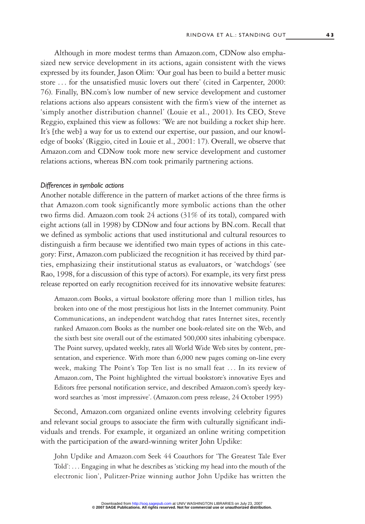Although in more modest terms than Amazon.com, CDNow also emphasized new service development in its actions, again consistent with the views expressed by its founder, Jason Olim: 'Our goal has been to build a better music store . . . for the unsatisfied music lovers out there' (cited in Carpenter, 2000: 76). Finally, BN.com's low number of new service development and customer relations actions also appears consistent with the firm's view of the internet as 'simply another distribution channel' (Louie et al., 2001). Its CEO, Steve Reggio, explained this view as follows: 'We are not building a rocket ship here. It's [the web] a way for us to extend our expertise, our passion, and our knowledge of books' (Riggio, cited in Louie et al., 2001: 17). Overall, we observe that Amazon.com and CDNow took more new service development and customer relations actions, whereas BN.com took primarily partnering actions.

#### *Differences in symbolic actions*

Another notable difference in the pattern of market actions of the three firms is that Amazon.com took significantly more symbolic actions than the other two firms did. Amazon.com took 24 actions (31% of its total), compared with eight actions (all in 1998) by CDNow and four actions by BN.com. Recall that we defined as symbolic actions that used institutional and cultural resources to distinguish a firm because we identified two main types of actions in this category: First, Amazon.com publicized the recognition it has received by third parties, emphasizing their institutional status as evaluators, or 'watchdogs' (see Rao, 1998, for a discussion of this type of actors). For example, its very first press release reported on early recognition received for its innovative website features:

Amazon.com Books, a virtual bookstore offering more than 1 million titles, has broken into one of the most prestigious hot lists in the Internet community. Point Communications, an independent watchdog that rates Internet sites, recently ranked Amazon.com Books as the number one book-related site on the Web, and the sixth best site overall out of the estimated 500,000 sites inhabiting cyberspace. The Point survey, updated weekly, rates all World Wide Web sites by content, presentation, and experience. With more than 6,000 new pages coming on-line every week, making The Point's Top Ten list is no small feat . . . In its review of Amazon.com, The Point highlighted the virtual bookstore's innovative Eyes and Editors free personal notification service, and described Amazon.com's speedy keyword searches as 'most impressive'. (Amazon.com press release, 24 October 1995)

Second, Amazon.com organized online events involving celebrity figures and relevant social groups to associate the firm with culturally significant individuals and trends. For example, it organized an online writing competition with the participation of the award-winning writer John Updike:

John Updike and Amazon.com Seek 44 Coauthors for 'The Greatest Tale Ever Told': . . . Engaging in what he describes as 'sticking my head into the mouth of the electronic lion', Pulitzer-Prize winning author John Updike has written the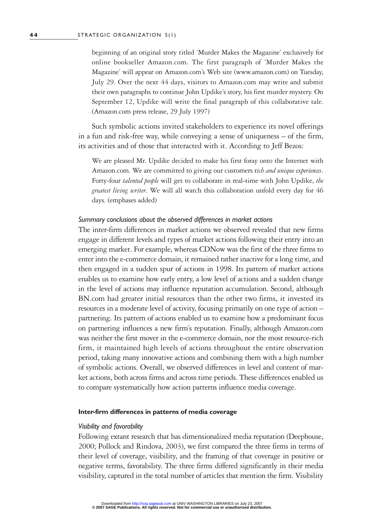beginning of an original story titled 'Murder Makes the Magazine' exclusively for online bookseller Amazon.com. The first paragraph of 'Murder Makes the Magazine' will appear on Amazon.com's Web site (www.amazon.com) on Tuesday, July 29. Over the next 44 days, visitors to Amazon.com may write and submit their own paragraphs to continue John Updike's story, his first murder mystery. On September 12, Updike will write the final paragraph of this collaborative tale. (Amazon.com press release, 29 July 1997)

Such symbolic actions invited stakeholders to experience its novel offerings in a fun and risk-free way, while conveying a sense of uniqueness – of the firm, its activities and of those that interacted with it. According to Jeff Bezos:

We are pleased Mr. Updike decided to make his first foray onto the Internet with Amazon.com. We are committed to giving our customers r*ich and unique experiences*. Forty-four *talented people* will get to collaborate in real-time with John Updike, *the greatest living writer*. We will all watch this collaboration unfold every day for 46 days. (emphases added)

#### *Summary conclusions about the observed differences in market actions*

The inter-firm differences in market actions we observed revealed that new firms engage in different levels and types of market actions following their entry into an emerging market. For example, whereas CDNow was the first of the three firms to enter into the e-commerce domain, it remained rather inactive for a long time, and then engaged in a sudden spur of actions in 1998. Its pattern of market actions enables us to examine how early entry, a low level of actions and a sudden change in the level of actions may influence reputation accumulation. Second, although BN.com had greater initial resources than the other two firms, it invested its resources in a moderate level of activity, focusing primarily on one type of action – partnering. Its pattern of actions enabled us to examine how a predominant focus on partnering influences a new firm's reputation. Finally, although Amazon.com was neither the first mover in the e-commerce domain, nor the most resource-rich firm, it maintained high levels of actions throughout the entire observation period, taking many innovative actions and combining them with a high number of symbolic actions. Overall, we observed differences in level and content of market actions, both across firms and across time periods. These differences enabled us to compare systematically how action patterns influence media coverage.

#### **Inter-firm differences in patterns of media coverage**

#### *Visibility and favorability*

Following extant research that has dimensionalized media reputation (Deephouse, 2000; Pollock and Rindova, 2003), we first compared the three firms in terms of their level of coverage, visibility, and the framing of that coverage in positive or negative terms, favorability. The three firms differed significantly in their media visibility, captured in the total number of articles that mention the firm. Visibility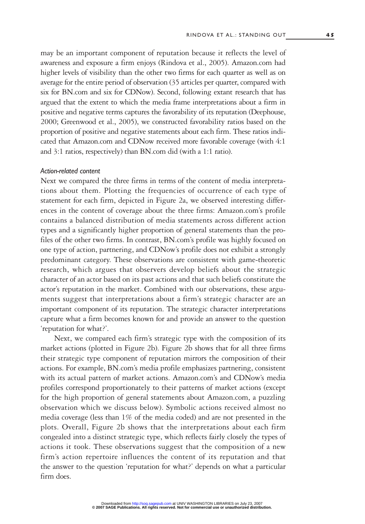may be an important component of reputation because it reflects the level of awareness and exposure a firm enjoys (Rindova et al., 2005). Amazon.com had higher levels of visibility than the other two firms for each quarter as well as on average for the entire period of observation (35 articles per quarter, compared with six for BN.com and six for CDNow). Second, following extant research that has argued that the extent to which the media frame interpretations about a firm in positive and negative terms captures the favorability of its reputation (Deephouse, 2000; Greenwood et al., 2005), we constructed favorability ratios based on the proportion of positive and negative statements about each firm. These ratios indicated that Amazon.com and CDNow received more favorable coverage (with 4:1 and 3:1 ratios, respectively) than BN.com did (with a 1:1 ratio).

#### *Action-related content*

Next we compared the three firms in terms of the content of media interpretations about them. Plotting the frequencies of occurrence of each type of statement for each firm, depicted in Figure 2a, we observed interesting differences in the content of coverage about the three firms: Amazon.com's profile contains a balanced distribution of media statements across different action types and a significantly higher proportion of general statements than the profiles of the other two firms. In contrast, BN.com's profile was highly focused on one type of action, partnering, and CDNow's profile does not exhibit a strongly predominant category. These observations are consistent with game-theoretic research, which argues that observers develop beliefs about the strategic character of an actor based on its past actions and that such beliefs constitute the actor's reputation in the market. Combined with our observations, these arguments suggest that interpretations about a firm's strategic character are an important component of its reputation. The strategic character interpretations capture what a firm becomes known for and provide an answer to the question 'reputation for what?'.

Next, we compared each firm's strategic type with the composition of its market actions (plotted in Figure 2b). Figure 2b shows that for all three firms their strategic type component of reputation mirrors the composition of their actions. For example, BN.com's media profile emphasizes partnering, consistent with its actual pattern of market actions. Amazon.com's and CDNow's media profiles correspond proportionately to their patterns of market actions (except for the high proportion of general statements about Amazon.com, a puzzling observation which we discuss below). Symbolic actions received almost no media coverage (less than 1% of the media coded) and are not presented in the plots. Overall, Figure 2b shows that the interpretations about each firm congealed into a distinct strategic type, which reflects fairly closely the types of actions it took. These observations suggest that the composition of a new firm's action repertoire influences the content of its reputation and that the answer to the question 'reputation for what?' depends on what a particular firm does.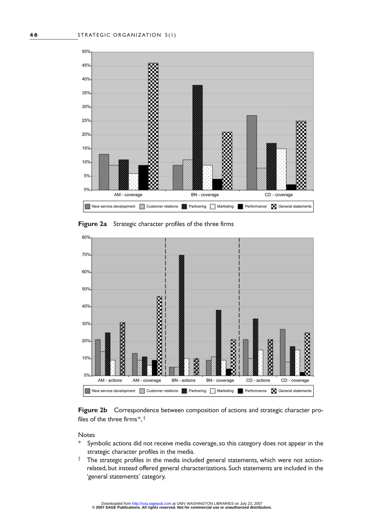

**Figure 2a** Strategic character profiles of the three firms



#### **Figure 2b** Correspondence between composition of actions and strategic character profiles of the three firms\*, †

#### Notes

- Symbolic actions did not receive media coverage, so this category does not appear in the strategic character profiles in the media.
- † The strategic profiles in the media included general statements, which were not actionrelated, but instead offered general characterizations. Such statements are included in the 'general statements' category.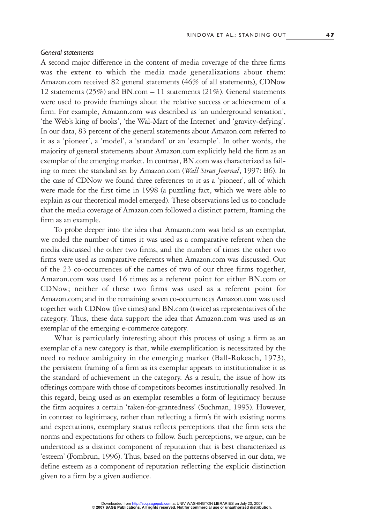#### *General statements*

A second major difference in the content of media coverage of the three firms was the extent to which the media made generalizations about them: Amazon.com received 82 general statements (46% of all statements), CDNow 12 statements (25%) and BN.com  $-11$  statements (21%). General statements were used to provide framings about the relative success or achievement of a firm. For example, Amazon.com was described as 'an underground sensation', 'the Web's king of books', 'the Wal-Mart of the Internet' and 'gravity-defying'. In our data, 83 percent of the general statements about Amazon.com referred to it as a 'pioneer', a 'model', a 'standard' or an 'example'. In other words, the majority of general statements about Amazon.com explicitly held the firm as an exemplar of the emerging market. In contrast, BN.com was characterized as failing to meet the standard set by Amazon.com (*Wall Street Journal*, 1997: B6). In the case of CDNow we found three references to it as a 'pioneer', all of which were made for the first time in 1998 (a puzzling fact, which we were able to explain as our theoretical model emerged). These observations led us to conclude that the media coverage of Amazon.com followed a distinct pattern, framing the firm as an example.

To probe deeper into the idea that Amazon.com was held as an exemplar, we coded the number of times it was used as a comparative referent when the media discussed the other two firms, and the number of times the other two firms were used as comparative referents when Amazon.com was discussed. Out of the 23 co-occurrences of the names of two of our three firms together, Amazon.com was used 16 times as a referent point for either BN.com or CDNow; neither of these two firms was used as a referent point for Amazon.com; and in the remaining seven co-occurrences Amazon.com was used together with CDNow (five times) and BN.com (twice) as representatives of the category. Thus, these data support the idea that Amazon.com was used as an exemplar of the emerging e-commerce category.

What is particularly interesting about this process of using a firm as an exemplar of a new category is that, while exemplification is necessitated by the need to reduce ambiguity in the emerging market (Ball-Rokeach, 1973), the persistent framing of a firm as its exemplar appears to institutionalize it as the standard of achievement in the category. As a result, the issue of how its offerings compare with those of competitors becomes institutionally resolved. In this regard, being used as an exemplar resembles a form of legitimacy because the firm acquires a certain 'taken-for-grantedness' (Suchman, 1995). However, in contrast to legitimacy, rather than reflecting a firm's fit with existing norms and expectations, exemplary status reflects perceptions that the firm sets the norms and expectations for others to follow. Such perceptions, we argue, can be understood as a distinct component of reputation that is best characterized as 'esteem' (Fombrun, 1996). Thus, based on the patterns observed in our data, we define esteem as a component of reputation reflecting the explicit distinction given to a firm by a given audience.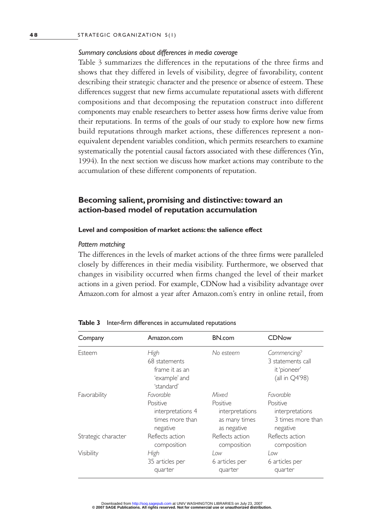#### *Summary conclusions about differences in media coverage*

Table 3 summarizes the differences in the reputations of the three firms and shows that they differed in levels of visibility, degree of favorability, content describing their strategic character and the presence or absence of esteem. These differences suggest that new firms accumulate reputational assets with different compositions and that decomposing the reputation construct into different components may enable researchers to better assess how firms derive value from their reputations. In terms of the goals of our study to explore how new firms build reputations through market actions, these differences represent a nonequivalent dependent variables condition, which permits researchers to examine systematically the potential causal factors associated with these differences (Yin, 1994). In the next section we discuss how market actions may contribute to the accumulation of these different components of reputation.

#### **Becoming salient, promising and distinctive: toward an action-based model of reputation accumulation**

#### **Level and composition of market actions: the salience effect**

#### *Pattern matching*

The differences in the levels of market actions of the three firms were paralleled closely by differences in their media visibility. Furthermore, we observed that changes in visibility occurred when firms changed the level of their market actions in a given period. For example, CDNow had a visibility advantage over Amazon.com for almost a year after Amazon.com's entry in online retail, from

| Company             | Amazon.com                                                             | BN.com          | <b>CDNow</b>                                                       |
|---------------------|------------------------------------------------------------------------|-----------------|--------------------------------------------------------------------|
| Esteem              | High<br>68 statements<br>frame it as an<br>'example' and<br>'standard' | No esteem       | Commencing?<br>3 statements call<br>it 'pioneer'<br>(all in Q4'98) |
| Favorability        | Favorable                                                              | Mixed           | Favorable                                                          |
|                     | Positive                                                               | Positive        | Positive                                                           |
|                     | interpretations 4                                                      | interpretations | interpretations                                                    |
|                     | times more than                                                        | as many times   | 3 times more than                                                  |
|                     | negative                                                               | as negative     | negative                                                           |
| Strategic character | Reflects action                                                        | Reflects action | Reflects action                                                    |
|                     | composition                                                            | composition     | composition                                                        |
| Visibility          | High                                                                   | Low             | Low                                                                |
|                     | 35 articles per                                                        | 6 articles per  | 6 articles per                                                     |
|                     | quarter                                                                | quarter         | quarter                                                            |

|  |  |  |  | <b>Table 3</b> Inter-firm differences in accumulated reputations |  |
|--|--|--|--|------------------------------------------------------------------|--|
|--|--|--|--|------------------------------------------------------------------|--|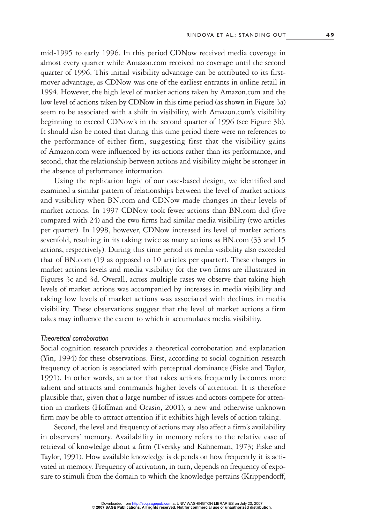mid-1995 to early 1996. In this period CDNow received media coverage in almost every quarter while Amazon.com received no coverage until the second quarter of 1996. This initial visibility advantage can be attributed to its firstmover advantage, as CDNow was one of the earliest entrants in online retail in 1994. However, the high level of market actions taken by Amazon.com and the low level of actions taken by CDNow in this time period (as shown in Figure 3a) seem to be associated with a shift in visibility, with Amazon.com's visibility beginning to exceed CDNow's in the second quarter of 1996 (see Figure 3b). It should also be noted that during this time period there were no references to the performance of either firm, suggesting first that the visibility gains of Amazon.com were influenced by its actions rather than its performance, and second, that the relationship between actions and visibility might be stronger in the absence of performance information.

Using the replication logic of our case-based design, we identified and examined a similar pattern of relationships between the level of market actions and visibility when BN.com and CDNow made changes in their levels of market actions. In 1997 CDNow took fewer actions than BN.com did (five compared with 24) and the two firms had similar media visibility (two articles per quarter). In 1998, however, CDNow increased its level of market actions sevenfold, resulting in its taking twice as many actions as BN.com (33 and 15 actions, respectively). During this time period its media visibility also exceeded that of BN.com (19 as opposed to 10 articles per quarter). These changes in market actions levels and media visibility for the two firms are illustrated in Figures 3c and 3d. Overall, across multiple cases we observe that taking high levels of market actions was accompanied by increases in media visibility and taking low levels of market actions was associated with declines in media visibility. These observations suggest that the level of market actions a firm takes may influence the extent to which it accumulates media visibility.

#### *Theoretical corroboration*

Social cognition research provides a theoretical corroboration and explanation (Yin, 1994) for these observations. First, according to social cognition research frequency of action is associated with perceptual dominance (Fiske and Taylor, 1991). In other words, an actor that takes actions frequently becomes more salient and attracts and commands higher levels of attention. It is therefore plausible that, given that a large number of issues and actors compete for attention in markets (Hoffman and Ocasio, 2001), a new and otherwise unknown firm may be able to attract attention if it exhibits high levels of action taking.

Second, the level and frequency of actions may also affect a firm's availability in observers' memory. Availability in memory refers to the relative ease of retrieval of knowledge about a firm (Tversky and Kahneman, 1973; Fiske and Taylor, 1991). How available knowledge is depends on how frequently it is activated in memory. Frequency of activation, in turn, depends on frequency of exposure to stimuli from the domain to which the knowledge pertains (Krippendorff,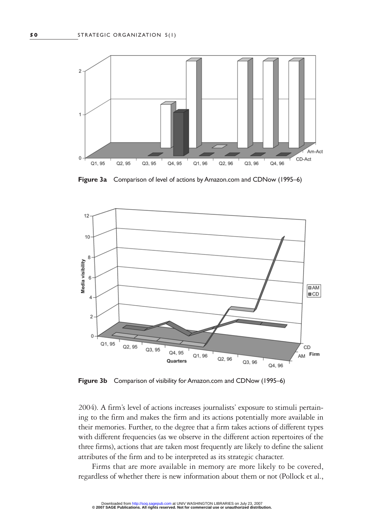

**Figure 3a** Comparison of level of actions by Amazon.com and CDNow (1995–6)



**Figure 3b** Comparison of visibility for Amazon.com and CDNow (1995–6)

2004). A firm's level of actions increases journalists' exposure to stimuli pertaining to the firm and makes the firm and its actions potentially more available in their memories. Further, to the degree that a firm takes actions of different types with different frequencies (as we observe in the different action repertoires of the three firms), actions that are taken most frequently are likely to define the salient attributes of the firm and to be interpreted as its strategic character.

Firms that are more available in memory are more likely to be covered, regardless of whether there is new information about them or not (Pollock et al.,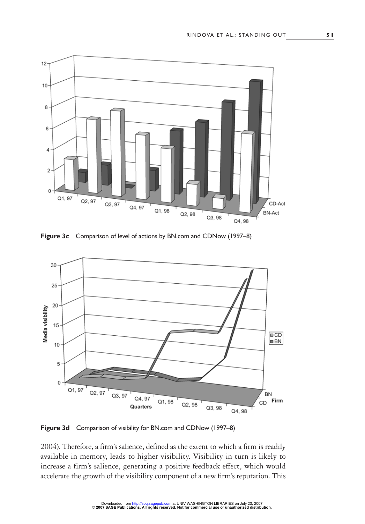

**Figure 3c** Comparison of level of actions by BN.com and CDNow (1997–8)



**Figure 3d** Comparison of visibility for BN.com and CDNow (1997–8)

2004). Therefore, a firm's salience, defined as the extent to which a firm is readily available in memory, leads to higher visibility. Visibility in turn is likely to increase a firm's salience, generating a positive feedback effect, which would accelerate the growth of the visibility component of a new firm's reputation. This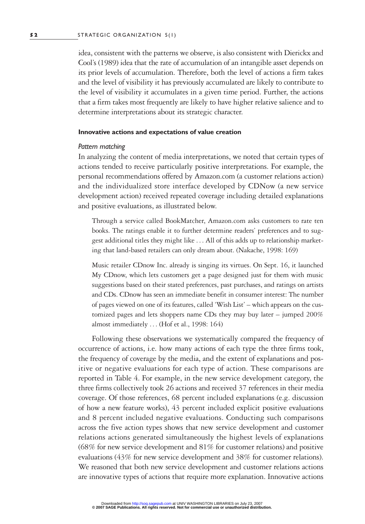idea, consistent with the patterns we observe, is also consistent with Dierickx and Cool's (1989) idea that the rate of accumulation of an intangible asset depends on its prior levels of accumulation. Therefore, both the level of actions a firm takes and the level of visibility it has previously accumulated are likely to contribute to the level of visibility it accumulates in a given time period. Further, the actions that a firm takes most frequently are likely to have higher relative salience and to determine interpretations about its strategic character.

#### **Innovative actions and expectations of value creation**

#### *Pattern matching*

In analyzing the content of media interpretations, we noted that certain types of actions tended to receive particularly positive interpretations. For example, the personal recommendations offered by Amazon.com (a customer relations action) and the individualized store interface developed by CDNow (a new service development action) received repeated coverage including detailed explanations and positive evaluations, as illustrated below.

Through a service called BookMatcher, Amazon.com asks customers to rate ten books. The ratings enable it to further determine readers' preferences and to suggest additional titles they might like . . . All of this adds up to relationship marketing that land-based retailers can only dream about. (Nakache, 1998: 169)

Music retailer CDnow Inc. already is singing its virtues. On Sept. 16, it launched My CDnow, which lets customers get a page designed just for them with music suggestions based on their stated preferences, past purchases, and ratings on artists and CDs. CDnow has seen an immediate benefit in consumer interest: The number of pages viewed on one of its features, called 'Wish List' – which appears on the customized pages and lets shoppers name CDs they may buy later – jumped 200% almost immediately . . . (Hof et al., 1998: 164)

Following these observations we systematically compared the frequency of occurrence of actions, i.e. how many actions of each type the three firms took, the frequency of coverage by the media, and the extent of explanations and positive or negative evaluations for each type of action. These comparisons are reported in Table 4. For example, in the new service development category, the three firms collectively took 26 actions and received 37 references in their media coverage. Of those references, 68 percent included explanations (e.g. discussion of how a new feature works), 43 percent included explicit positive evaluations and 8 percent included negative evaluations. Conducting such comparisons across the five action types shows that new service development and customer relations actions generated simultaneously the highest levels of explanations (68% for new service development and 81% for customer relations) and positive evaluations (43% for new service development and 38% for customer relations). We reasoned that both new service development and customer relations actions are innovative types of actions that require more explanation. Innovative actions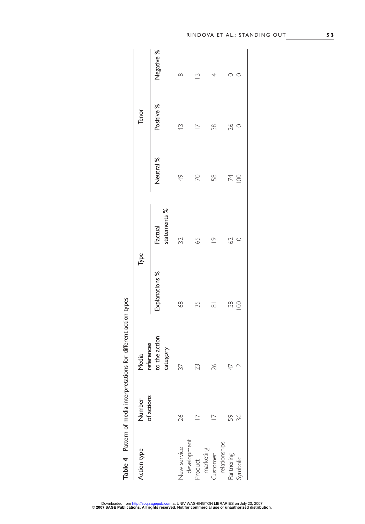Table 4 Pattern of media interpretations for different action types **Table 4** Pattern of media interpretations for different action types

|                                         | 1                    |                           | $\overline{\phantom{a}}$ |                         |                |               |            |
|-----------------------------------------|----------------------|---------------------------|--------------------------|-------------------------|----------------|---------------|------------|
| Action type                             | of actions<br>Number | references<br>Media       | Type                     |                         |                | Tenor         |            |
|                                         |                      | to the action<br>category | Explanations %           | statements %<br>Factual | Neutral %      | Positive %    | Negative % |
| New service                             | 26                   | 37                        | 89                       | 55                      | 49             | $\frac{1}{4}$ | ∞          |
| development<br>Product                  |                      | 23                        | 35                       | 59                      | 20             |               |            |
| marketing<br>Customer                   |                      | 26                        | $\infty$                 | σ                       | 58             | 38            |            |
| relationships<br>Partnering<br>Symbolic | 36<br>59             | C<br>47                   | 38<br>8                  | $\circ$<br>2            | 74<br>$\infty$ | 26            | $\circ$    |
|                                         |                      |                           |                          |                         |                |               |            |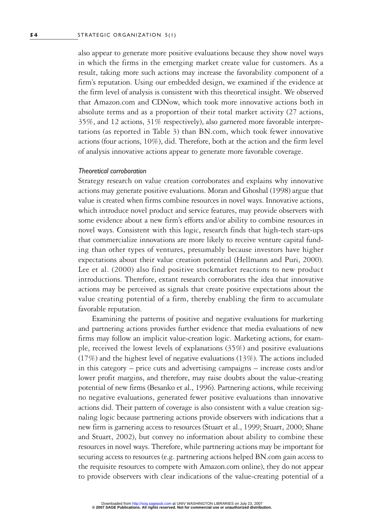#### **54** STRATEGIC ORGANIZATION 5(1)

also appear to generate more positive evaluations because they show novel ways in which the firms in the emerging market create value for customers. As a result, taking more such actions may increase the favorability component of a firm's reputation. Using our embedded design, we examined if the evidence at the firm level of analysis is consistent with this theoretical insight. We observed that Amazon.com and CDNow, which took more innovative actions both in absolute terms and as a proportion of their total market activity (27 actions, 35%, and 12 actions, 31% respectively), also garnered more favorable interpretations (as reported in Table 3) than BN.com, which took fewer innovative actions (four actions, 10%), did. Therefore, both at the action and the firm level of analysis innovative actions appear to generate more favorable coverage.

#### *Theoretical corroboration*

Strategy research on value creation corroborates and explains why innovative actions may generate positive evaluations. Moran and Ghoshal (1998) argue that value is created when firms combine resources in novel ways. Innovative actions, which introduce novel product and service features, may provide observers with some evidence about a new firm's efforts and/or ability to combine resources in novel ways. Consistent with this logic, research finds that high-tech start-ups that commercialize innovations are more likely to receive venture capital funding than other types of ventures, presumably because investors have higher expectations about their value creation potential (Hellmann and Puri, 2000). Lee et al. (2000) also find positive stockmarket reactions to new product introductions. Therefore, extant research corroborates the idea that innovative actions may be perceived as signals that create positive expectations about the value creating potential of a firm, thereby enabling the firm to accumulate favorable reputation.

Examining the patterns of positive and negative evaluations for marketing and partnering actions provides further evidence that media evaluations of new firms may follow an implicit value-creation logic. Marketing actions, for example, received the lowest levels of explanations (35%) and positive evaluations (17%) and the highest level of negative evaluations (13%). The actions included in this category – price cuts and advertising campaigns – increase costs and/or lower profit margins, and therefore, may raise doubts about the value-creating potential of new firms (Besanko et al., 1996). Partnering actions, while receiving no negative evaluations, generated fewer positive evaluations than innovative actions did. Their pattern of coverage is also consistent with a value creation signaling logic because partnering actions provide observers with indications that a new firm is garnering access to resources (Stuart et al., 1999; Stuart, 2000; Shane and Stuart, 2002), but convey no information about ability to combine these resources in novel ways. Therefore, while partnering actions may be important for securing access to resources (e.g. partnering actions helped BN.com gain access to the requisite resources to compete with Amazon.com online), they do not appear to provide observers with clear indications of the value-creating potential of a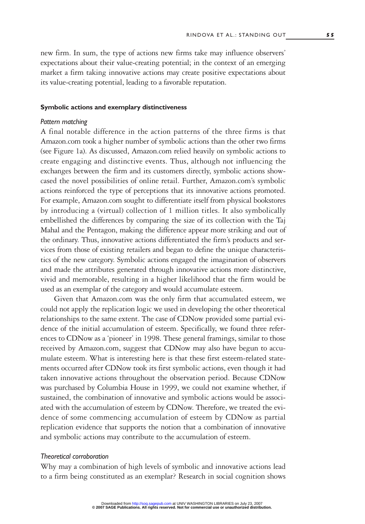new firm. In sum, the type of actions new firms take may influence observers' expectations about their value-creating potential; in the context of an emerging market a firm taking innovative actions may create positive expectations about its value-creating potential, leading to a favorable reputation.

#### **Symbolic actions and exemplary distinctiveness**

#### *Pattern matching*

A final notable difference in the action patterns of the three firms is that Amazon.com took a higher number of symbolic actions than the other two firms (see Figure 1a). As discussed, Amazon.com relied heavily on symbolic actions to create engaging and distinctive events. Thus, although not influencing the exchanges between the firm and its customers directly, symbolic actions showcased the novel possibilities of online retail. Further, Amazon.com's symbolic actions reinforced the type of perceptions that its innovative actions promoted. For example, Amazon.com sought to differentiate itself from physical bookstores by introducing a (virtual) collection of 1 million titles. It also symbolically embellished the differences by comparing the size of its collection with the Taj Mahal and the Pentagon, making the difference appear more striking and out of the ordinary. Thus, innovative actions differentiated the firm's products and services from those of existing retailers and began to define the unique characteristics of the new category. Symbolic actions engaged the imagination of observers and made the attributes generated through innovative actions more distinctive, vivid and memorable, resulting in a higher likelihood that the firm would be used as an exemplar of the category and would accumulate esteem.

Given that Amazon.com was the only firm that accumulated esteem, we could not apply the replication logic we used in developing the other theoretical relationships to the same extent. The case of CDNow provided some partial evidence of the initial accumulation of esteem. Specifically, we found three references to CDNow as a 'pioneer' in 1998. These general framings, similar to those received by Amazon.com, suggest that CDNow may also have begun to accumulate esteem. What is interesting here is that these first esteem-related statements occurred after CDNow took its first symbolic actions, even though it had taken innovative actions throughout the observation period. Because CDNow was purchased by Columbia House in 1999, we could not examine whether, if sustained, the combination of innovative and symbolic actions would be associated with the accumulation of esteem by CDNow. Therefore, we treated the evidence of some commencing accumulation of esteem by CDNow as partial replication evidence that supports the notion that a combination of innovative and symbolic actions may contribute to the accumulation of esteem.

#### *Theoretical corroboration*

Why may a combination of high levels of symbolic and innovative actions lead to a firm being constituted as an exemplar? Research in social cognition shows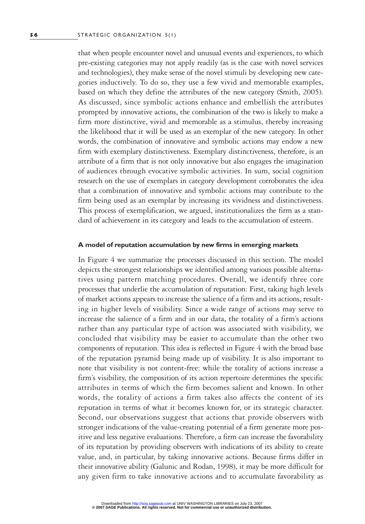that when people encounter novel and unusual events and experiences, to which pre-existing categories may not apply readily (as is the case with novel services and technologies), they make sense of the novel stimuli by developing new categories inductively. To do so, they use a few vivid and memorable examples, based on which they define the attributes of the new category (Smith, 2005). As discussed, since symbolic actions enhance and embellish the attributes prompted by innovative actions, the combination of the two is likely to make a firm more distinctive, vivid and memorable as a stimulus, thereby increasing the likelihood that it will be used as an exemplar of the new category. In other words, the combination of innovative and symbolic actions may endow a new firm with exemplary distinctiveness. Exemplary distinctiveness, therefore, is an attribute of a firm that is not only innovative but also engages the imagination of audiences through evocative symbolic activities. In sum, social cognition research on the use of exemplars in category development corroborates the idea that a combination of innovative and symbolic actions may contribute to the firm being used as an exemplar by increasing its vividness and distinctiveness. This process of exemplification, we argued, institutionalizes the firm as a standard of achievement in its category and leads to the accumulation of esteem.

#### **A model of reputation accumulation by new firms in emerging markets**

In Figure 4 we summarize the processes discussed in this section. The model depicts the strongest relationships we identified among various possible alternatives using pattern matching procedures. Overall, we identify three core processes that underlie the accumulation of reputation: First, taking high levels of market actions appears to increase the salience of a firm and its actions, resulting in higher levels of visibility. Since a wide range of actions may serve to increase the salience of a firm and in our data, the totality of a firm's actions rather than any particular type of action was associated with visibility, we concluded that visibility may be easier to accumulate than the other two components of reputation. This idea is reflected in Figure 4 with the broad base of the reputation pyramid being made up of visibility. It is also important to note that visibility is not content-free: while the totality of actions increase a firm's visibility, the composition of its action repertoire determines the specific attributes in terms of which the firm becomes salient and known. In other words, the totality of actions a firm takes also affects the content of its reputation in terms of what it becomes known for, or its strategic character. Second, our observations suggest that actions that provide observers with stronger indications of the value-creating potential of a firm generate more positive and less negative evaluations. Therefore, a firm can increase the favorability of its reputation by providing observers with indications of its ability to create value, and, in particular, by taking innovative actions. Because firms differ in their innovative ability (Galunic and Rodan, 1998), it may be more difficult for any given firm to take innovative actions and to accumulate favorability as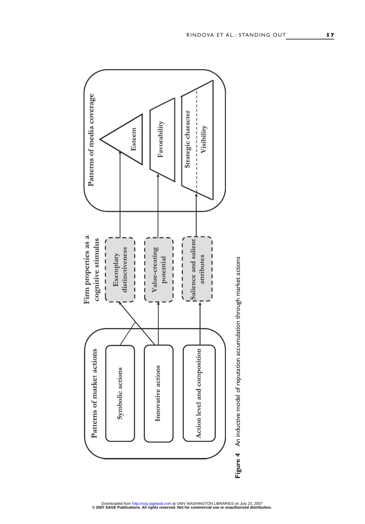

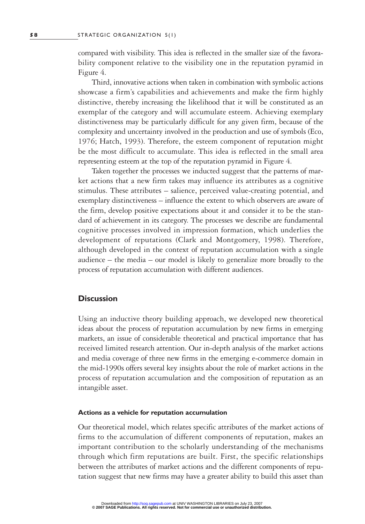compared with visibility. This idea is reflected in the smaller size of the favorability component relative to the visibility one in the reputation pyramid in Figure 4.

Third, innovative actions when taken in combination with symbolic actions showcase a firm's capabilities and achievements and make the firm highly distinctive, thereby increasing the likelihood that it will be constituted as an exemplar of the category and will accumulate esteem. Achieving exemplary distinctiveness may be particularly difficult for any given firm, because of the complexity and uncertainty involved in the production and use of symbols (Eco, 1976; Hatch, 1993). Therefore, the esteem component of reputation might be the most difficult to accumulate. This idea is reflected in the small area representing esteem at the top of the reputation pyramid in Figure 4.

Taken together the processes we inducted suggest that the patterns of market actions that a new firm takes may influence its attributes as a cognitive stimulus. These attributes – salience, perceived value-creating potential, and exemplary distinctiveness – influence the extent to which observers are aware of the firm, develop positive expectations about it and consider it to be the standard of achievement in its category. The processes we describe are fundamental cognitive processes involved in impression formation, which underlies the development of reputations (Clark and Montgomery, 1998). Therefore, although developed in the context of reputation accumulation with a single audience – the media – our model is likely to generalize more broadly to the process of reputation accumulation with different audiences.

#### **Discussion**

Using an inductive theory building approach, we developed new theoretical ideas about the process of reputation accumulation by new firms in emerging markets, an issue of considerable theoretical and practical importance that has received limited research attention. Our in-depth analysis of the market actions and media coverage of three new firms in the emerging e-commerce domain in the mid-1990s offers several key insights about the role of market actions in the process of reputation accumulation and the composition of reputation as an intangible asset.

#### **Actions as a vehicle for reputation accumulation**

Our theoretical model, which relates specific attributes of the market actions of firms to the accumulation of different components of reputation, makes an important contribution to the scholarly understanding of the mechanisms through which firm reputations are built. First, the specific relationships between the attributes of market actions and the different components of reputation suggest that new firms may have a greater ability to build this asset than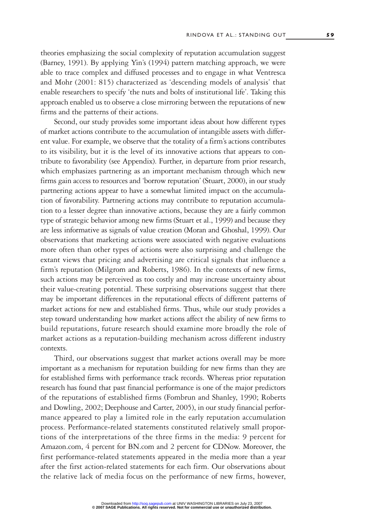theories emphasizing the social complexity of reputation accumulation suggest (Barney, 1991). By applying Yin's (1994) pattern matching approach, we were able to trace complex and diffused processes and to engage in what Ventresca and Mohr (2001: 815) characterized as 'descending models of analysis' that enable researchers to specify 'the nuts and bolts of institutional life'. Taking this approach enabled us to observe a close mirroring between the reputations of new firms and the patterns of their actions.

Second, our study provides some important ideas about how different types of market actions contribute to the accumulation of intangible assets with different value. For example, we observe that the totality of a firm's actions contributes to its visibility, but it is the level of its innovative actions that appears to contribute to favorability (see Appendix). Further, in departure from prior research, which emphasizes partnering as an important mechanism through which new firms gain access to resources and 'borrow reputation' (Stuart, 2000), in our study partnering actions appear to have a somewhat limited impact on the accumulation of favorability. Partnering actions may contribute to reputation accumulation to a lesser degree than innovative actions, because they are a fairly common type of strategic behavior among new firms (Stuart et al., 1999) and because they are less informative as signals of value creation (Moran and Ghoshal, 1999). Our observations that marketing actions were associated with negative evaluations more often than other types of actions were also surprising and challenge the extant views that pricing and advertising are critical signals that influence a firm's reputation (Milgrom and Roberts, 1986). In the contexts of new firms, such actions may be perceived as too costly and may increase uncertainty about their value-creating potential. These surprising observations suggest that there may be important differences in the reputational effects of different patterns of market actions for new and established firms. Thus, while our study provides a step toward understanding how market actions affect the ability of new firms to build reputations, future research should examine more broadly the role of market actions as a reputation-building mechanism across different industry contexts.

Third, our observations suggest that market actions overall may be more important as a mechanism for reputation building for new firms than they are for established firms with performance track records. Whereas prior reputation research has found that past financial performance is one of the major predictors of the reputations of established firms (Fombrun and Shanley, 1990; Roberts and Dowling, 2002; Deephouse and Carter, 2005), in our study financial performance appeared to play a limited role in the early reputation accumulation process. Performance-related statements constituted relatively small proportions of the interpretations of the three firms in the media: 9 percent for Amazon.com, 4 percent for BN.com and 2 percent for CDNow. Moreover, the first performance-related statements appeared in the media more than a year after the first action-related statements for each firm. Our observations about the relative lack of media focus on the performance of new firms, however,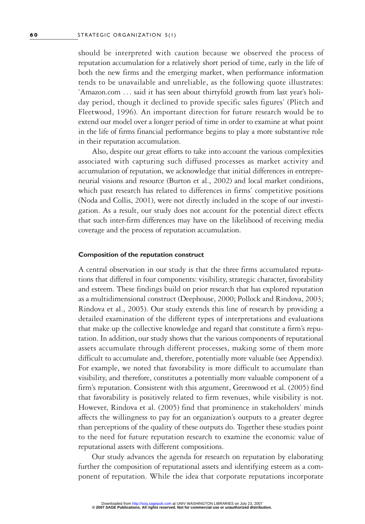**60** STRATEGIC ORGANIZATION 5(1)

should be interpreted with caution because we observed the process of reputation accumulation for a relatively short period of time, early in the life of both the new firms and the emerging market, when performance information tends to be unavailable and unreliable, as the following quote illustrates: 'Amazon.com ... said it has seen about thirtyfold growth from last year's holiday period, though it declined to provide specific sales figures' (Plitch and Fleetwood, 1996). An important direction for future research would be to extend our model over a longer period of time in order to examine at what point in the life of firms financial performance begins to play a more substantive role in their reputation accumulation.

Also, despite our great efforts to take into account the various complexities associated with capturing such diffused processes as market activity and accumulation of reputation, we acknowledge that initial differences in entrepreneurial visions and resource (Burton et al., 2002) and local market conditions, which past research has related to differences in firms' competitive positions (Noda and Collis, 2001), were not directly included in the scope of our investigation. As a result, our study does not account for the potential direct effects that such inter-firm differences may have on the likelihood of receiving media coverage and the process of reputation accumulation.

#### **Composition of the reputation construct**

A central observation in our study is that the three firms accumulated reputations that differed in four components: visibility, strategic character, favorability and esteem. These findings build on prior research that has explored reputation as a multidimensional construct (Deephouse, 2000; Pollock and Rindova, 2003; Rindova et al., 2005). Our study extends this line of research by providing a detailed examination of the different types of interpretations and evaluations that make up the collective knowledge and regard that constitute a firm's reputation. In addition, our study shows that the various components of reputational assets accumulate through different processes, making some of them more difficult to accumulate and, therefore, potentially more valuable (see Appendix). For example, we noted that favorability is more difficult to accumulate than visibility, and therefore, constitutes a potentially more valuable component of a firm's reputation. Consistent with this argument, Greenwood et al. (2005) find that favorability is positively related to firm revenues, while visibility is not. However, Rindova et al. (2005) find that prominence in stakeholders' minds affects the willingness to pay for an organization's outputs to a greater degree than perceptions of the quality of these outputs do. Together these studies point to the need for future reputation research to examine the economic value of reputational assets with different compositions.

Our study advances the agenda for research on reputation by elaborating further the composition of reputational assets and identifying esteem as a component of reputation. While the idea that corporate reputations incorporate

**<sup>© 2007</sup> SAGE Publications. All rights reserved. Not for commercial use or unauthorized distribution.** Downloaded from [http://soq.sagepub.com a](http://soq.sagepub.com)t UNIV WASHINGTON LIBRARIES on July 23, 2007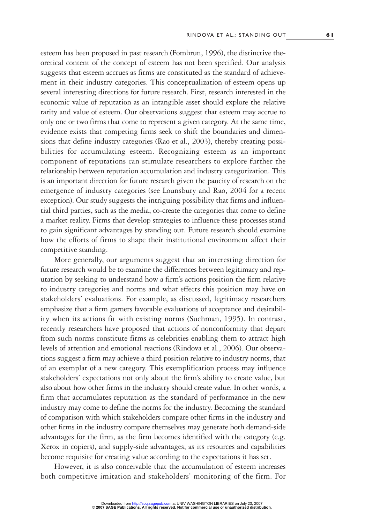esteem has been proposed in past research (Fombrun, 1996), the distinctive theoretical content of the concept of esteem has not been specified. Our analysis suggests that esteem accrues as firms are constituted as the standard of achievement in their industry categories. This conceptualization of esteem opens up several interesting directions for future research. First, research interested in the economic value of reputation as an intangible asset should explore the relative rarity and value of esteem. Our observations suggest that esteem may accrue to only one or two firms that come to represent a given category. At the same time, evidence exists that competing firms seek to shift the boundaries and dimensions that define industry categories (Rao et al., 2003), thereby creating possibilities for accumulating esteem. Recognizing esteem as an important component of reputations can stimulate researchers to explore further the relationship between reputation accumulation and industry categorization. This is an important direction for future research given the paucity of research on the emergence of industry categories (see Lounsbury and Rao, 2004 for a recent exception). Our study suggests the intriguing possibility that firms and influential third parties, such as the media, co-create the categories that come to define a market reality. Firms that develop strategies to influence these processes stand to gain significant advantages by standing out. Future research should examine how the efforts of firms to shape their institutional environment affect their competitive standing.

More generally, our arguments suggest that an interesting direction for future research would be to examine the differences between legitimacy and reputation by seeking to understand how a firm's actions position the firm relative to industry categories and norms and what effects this position may have on stakeholders' evaluations. For example, as discussed, legitimacy researchers emphasize that a firm garners favorable evaluations of acceptance and desirability when its actions fit with existing norms (Suchman, 1995). In contrast, recently researchers have proposed that actions of nonconformity that depart from such norms constitute firms as celebrities enabling them to attract high levels of attention and emotional reactions (Rindova et al., 2006). Our observations suggest a firm may achieve a third position relative to industry norms, that of an exemplar of a new category. This exemplification process may influence stakeholders' expectations not only about the firm's ability to create value, but also about how other firms in the industry should create value. In other words, a firm that accumulates reputation as the standard of performance in the new industry may come to define the norms for the industry. Becoming the standard of comparison with which stakeholders compare other firms in the industry and other firms in the industry compare themselves may generate both demand-side advantages for the firm, as the firm becomes identified with the category (e.g. Xerox in copiers), and supply-side advantages, as its resources and capabilities become requisite for creating value according to the expectations it has set.

However, it is also conceivable that the accumulation of esteem increases both competitive imitation and stakeholders' monitoring of the firm. For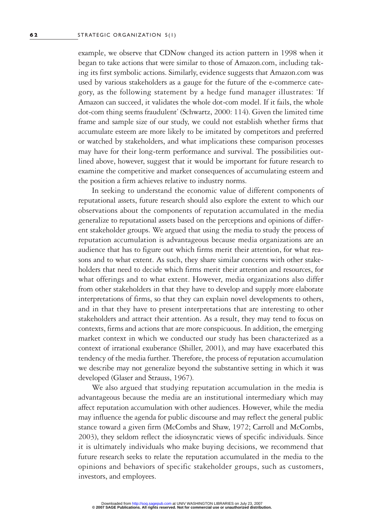example, we observe that CDNow changed its action pattern in 1998 when it began to take actions that were similar to those of Amazon.com, including taking its first symbolic actions. Similarly, evidence suggests that Amazon.com was used by various stakeholders as a gauge for the future of the e-commerce category, as the following statement by a hedge fund manager illustrates: 'If Amazon can succeed, it validates the whole dot-com model. If it fails, the whole dot-com thing seems fraudulent' (Schwartz, 2000: 114). Given the limited time frame and sample size of our study, we could not establish whether firms that accumulate esteem are more likely to be imitated by competitors and preferred or watched by stakeholders, and what implications these comparison processes may have for their long-term performance and survival. The possibilities outlined above, however, suggest that it would be important for future research to examine the competitive and market consequences of accumulating esteem and the position a firm achieves relative to industry norms.

In seeking to understand the economic value of different components of reputational assets, future research should also explore the extent to which our observations about the components of reputation accumulated in the media generalize to reputational assets based on the perceptions and opinions of different stakeholder groups. We argued that using the media to study the process of reputation accumulation is advantageous because media organizations are an audience that has to figure out which firms merit their attention, for what reasons and to what extent. As such, they share similar concerns with other stakeholders that need to decide which firms merit their attention and resources, for what offerings and to what extent. However, media organizations also differ from other stakeholders in that they have to develop and supply more elaborate interpretations of firms, so that they can explain novel developments to others, and in that they have to present interpretations that are interesting to other stakeholders and attract their attention. As a result, they may tend to focus on contexts, firms and actions that are more conspicuous. In addition, the emerging market context in which we conducted our study has been characterized as a context of irrational exuberance (Shiller, 2001), and may have exacerbated this tendency of the media further. Therefore, the process of reputation accumulation we describe may not generalize beyond the substantive setting in which it was developed (Glaser and Strauss, 1967).

We also argued that studying reputation accumulation in the media is advantageous because the media are an institutional intermediary which may affect reputation accumulation with other audiences. However, while the media may influence the agenda for public discourse and may reflect the general public stance toward a given firm (McCombs and Shaw, 1972; Carroll and McCombs, 2003), they seldom reflect the idiosyncratic views of specific individuals. Since it is ultimately individuals who make buying decisions, we recommend that future research seeks to relate the reputation accumulated in the media to the opinions and behaviors of specific stakeholder groups, such as customers, investors, and employees.

**<sup>© 2007</sup> SAGE Publications. All rights reserved. Not for commercial use or unauthorized distribution.** Downloaded from [http://soq.sagepub.com a](http://soq.sagepub.com)t UNIV WASHINGTON LIBRARIES on July 23, 2007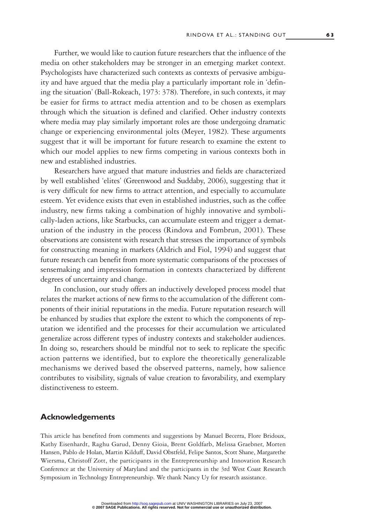Further, we would like to caution future researchers that the influence of the media on other stakeholders may be stronger in an emerging market context. Psychologists have characterized such contexts as contexts of pervasive ambiguity and have argued that the media play a particularly important role in 'defining the situation' (Ball-Rokeach, 1973: 378). Therefore, in such contexts, it may be easier for firms to attract media attention and to be chosen as exemplars through which the situation is defined and clarified. Other industry contexts where media may play similarly important roles are those undergoing dramatic change or experiencing environmental jolts (Meyer, 1982). These arguments suggest that it will be important for future research to examine the extent to which our model applies to new firms competing in various contexts both in new and established industries.

Researchers have argued that mature industries and fields are characterized by well established 'elites' (Greenwood and Suddaby, 2006), suggesting that it is very difficult for new firms to attract attention, and especially to accumulate esteem. Yet evidence exists that even in established industries, such as the coffee industry, new firms taking a combination of highly innovative and symbolically-laden actions, like Starbucks, can accumulate esteem and trigger a dematuration of the industry in the process (Rindova and Fombrun, 2001). These observations are consistent with research that stresses the importance of symbols for constructing meaning in markets (Aldrich and Fiol, 1994) and suggest that future research can benefit from more systematic comparisons of the processes of sensemaking and impression formation in contexts characterized by different degrees of uncertainty and change.

In conclusion, our study offers an inductively developed process model that relates the market actions of new firms to the accumulation of the different components of their initial reputations in the media. Future reputation research will be enhanced by studies that explore the extent to which the components of reputation we identified and the processes for their accumulation we articulated generalize across different types of industry contexts and stakeholder audiences. In doing so, researchers should be mindful not to seek to replicate the specific action patterns we identified, but to explore the theoretically generalizable mechanisms we derived based the observed patterns, namely, how salience contributes to visibility, signals of value creation to favorability, and exemplary distinctiveness to esteem.

#### **Acknowledgements**

This article has benefited from comments and suggestions by Manuel Becerra, Flore Bridoux, Kathy Eisenhardt, Raghu Garud, Denny Gioia, Brent Goldfarb, Melissa Graebner, Morten Hansen, Pablo de Holan, Martin Kilduff, David Obstfeld, Felipe Santos, Scott Shane, Margarethe Wiersma, Christoff Zott, the participants in the Entrepreneurship and Innovation Research Conference at the University of Maryland and the participants in the 3rd West Coast Research Symposium in Technology Entrepreneurship. We thank Nancy Uy for research assistance.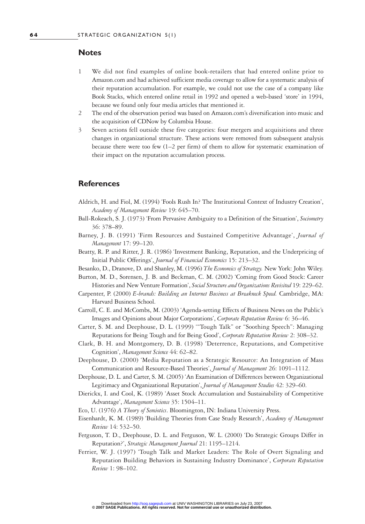#### **Notes**

- 1 We did not find examples of online book-retailers that had entered online prior to Amazon.com and had achieved sufficient media coverage to allow for a systematic analysis of their reputation accumulation. For example, we could not use the case of a company like Book Stacks, which entered online retail in 1992 and opened a web-based 'store' in 1994, because we found only four media articles that mentioned it.
- 2 The end of the observation period was based on Amazon.com's diversification into music and the acquisition of CDNow by Columbia House.
- 3 Seven actions fell outside these five categories: four mergers and acquisitions and three changes in organizational structure. These actions were removed from subsequent analysis because there were too few  $(1-2$  per firm) of them to allow for systematic examination of their impact on the reputation accumulation process.

#### **References**

- Aldrich, H. and Fiol, M. (1994) 'Fools Rush In? The Institutional Context of Industry Creation', *Academy of Management Review* 19: 645–70.
- Ball-Rokeach, S. J. (1973) 'From Pervasive Ambiguity to a Definition of the Situation', *Sociometry* 36: 378–89.
- Barney, J. B. (1991) 'Firm Resources and Sustained Competitive Advantage', *Journal of Management* 17: 99–120.
- Beatty, R. P. and Ritter, J. R. (1986) 'Investment Banking, Reputation, and the Underpricing of Initial Public Offerings', *Journal of Financial Economics* 15: 213–32.
- Besanko, D., Dranove, D. and Shanley, M. (1996) *The Economics of Strategy.* New York: John Wiley.
- Burton, M. D., Sorensen, J. B. and Beckman, C. M. (2002) 'Coming from Good Stock: Career Histories and New Venture Formation', *Social Structure and Organizations Revisited* 19: 229–62.
- Carpenter, P. (2000) *E-brands: Building an Internet Business at Breakneck Speed.* Cambridge, MA: Harvard Business School.
- Carroll, C. E. and McCombs, M. (2003) 'Agenda-setting Effects of Business News on the Public's Images and Opinions about Major Corporations', *Corporate Reputation Review* 6: 36–46.
- Carter, S. M. and Deephouse, D. L. (1999) '"Tough Talk" or "Soothing Speech": Managing Reputations for Being Tough and for Being Good', *Corporate Reputation Review* 2: 308–32.
- Clark, B. H. and Montgomery, D. B. (1998) 'Deterrence, Reputations, and Competitive Cognition', *Management Science* 44: 62–82.
- Deephouse, D. (2000) 'Media Reputation as a Strategic Resource: An Integration of Mass Communication and Resource-Based Theories', *Journal of Management* 26: 1091–1112.
- Deephouse, D. L. and Carter, S. M. (2005) 'An Examination of Differences between Organizational Legitimacy and Organizational Reputation', *Journal of Management Studies* 42: 329–60.
- Dierickx, I. and Cool, K. (1989) 'Asset Stock Accumulation and Sustainability of Competitive Advantage', *Management Science* 35: 1504–11.
- Eco, U. (1976) *A Theory of Semiotics*. Bloomington, IN: Indiana University Press.
- Eisenhardt, K. M. (1989) 'Building Theories from Case Study Research', *Academy of Management Review* 14: 532–50.
- Ferguson, T. D., Deephouse, D. L. and Ferguson, W. L. (2000) 'Do Strategic Groups Differ in Reputation?', *Strategic Management Journal* 21: 1195–1214.
- Ferrier, W. J. (1997) 'Tough Talk and Market Leaders: The Role of Overt Signaling and Reputation Building Behaviors in Sustaining Industry Dominance', *Corporate Reputation Review* 1: 98–102.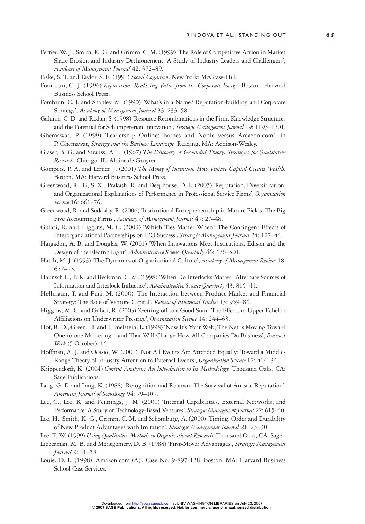- Ferrier, W. J., Smith, K. G. and Grimm, C. M. (1999) 'The Role of Competitive Action in Market Share Erosion and Industry Dethronement: A Study of Industry Leaders and Challengers', *Academy of Management Journal* 42: 372–89.
- Fiske, S. T. and Taylor, S. E. (1991) *Social Cognition*. New York: McGraw-Hill.
- Fombrun, C. J. (1996) *Reputation: Realizing Value from the Corporate Image.* Boston: Harvard Business School Press.
- Fombrun, C. J. and Shanley, M. (1990) 'What's in a Name? Reputation-building and Corporate Strategy', *Academy of Management Journal* 33: 233–58.
- Galunic, C. D. and Rodan, S. (1998) 'Resource Recombinations in the Firm: Knowledge Structures and the Potential for Schumpeterian Innovation', *Strategic Management Journal* 19: 1193–1201.
- Ghemawat, P. (1999) 'Leadership Online: Barnes and Noble versus Amazon.com', in P. Ghemawat, *Strategy and the Business Landscape.* Reading, MA: Addison-Wesley.
- Glaser, B. G. and Strauss, A. L. (1967) *The Discovery of Grounded Theory: Strategies for Qualitative Research.* Chicago, IL: Aldine de Gruyter.
- Gompers, P. A. and Lerner, J. (2001) *The Money of Invention: How Venture Capital Creates Wealth.* Boston, MA: Harvard Business School Press.
- Greenwood, R., Li, S. X., Prakash, R. and Deephouse, D. L. (2005) 'Reputation, Diversification, and Organizational Explanations of Performance in Professional Service Firms', *Organization Science* 16: 661–76.
- Greenwood, R. and Suddaby, R. (2006) 'Institutional Entrepreneurship in Mature Fields: The Big Five Accounting Firms', *Academy of Management Journal* 49: 27–48.
- Gulati, R. and Higgins, M. C. (2003) 'Which Ties Matter When? The Contingent Effects of Interorganziational Partnerships on IPO Success', *Strategic Management Journal* 24: 127–44.
- Hargadon, A. B. and Douglas, W. (2001) 'When Innovations Meet Institutions: Edison and the Design of the Electric Light', *Administrative Science Quarterly* 46: 476–501.
- Hatch, M. J. (1993) 'The Dynamics of Organizational Culture', *Academy of Management Review* 18: 657–93.
- Haunschild, P. R. and Beckman, C. M. (1998) 'When Do Interlocks Matter? Alternate Sources of Information and Interlock Influence', *Administrative Science Quarterly* 43: 815–44.
- Hellmann, T. and Puri, M. (2000) 'The Interaction between Product Market and Financial Strategy: The Role of Venture Capital', *Review of Financial Studies* 13: 959–84.
- Higgins, M. C. and Gulati, R. (2003) 'Getting off to a Good Start: The Effects of Upper Echelon Affiliations on Underwriter Prestige', *Organization Science* 14: 244–63.
- Hof, R. D., Green, H. and Himelstein, L. (1998) 'Now It's Your Web; The Net is Moving Toward One-to-one Marketing – and That Will Change How All Companies Do Business', *Business Week* (5 October): 164.
- Hoffman, A. J. and Ocasio, W. (2001) 'Not All Events Are Attended Equally: Toward a Middle-Range Theory of Industry Attention to External Events', *Organization Science* 12: 414–34.
- Krippendorff, K. (2004) *Content Analysis: An Introduction to Its Methodology.* Thousand Oaks, CA: Sage Publications.
- Lang, G. E. and Lang, K. (1988) 'Recognition and Renown: The Survival of Artistic Reputation', *American Journal of Soci*ology 94: 79–109.
- Lee, C., Lee, K. and Pennings, J. M. (2001) 'Internal Capabilities, External Networks, and Performance: A Study on Technology-Based Ventures', *Strategic Management Journal* 22: 615–40.
- Lee, H., Smith, K. G., Grimm, C. M. and Schomburg, A. (2000) 'Timing, Order and Durability of New Product Advantages with Imitation', *Strategic Management Journal* 21: 23–30.
- Lee, T. W. (1999) *Using Qualitative Methods in Organizational Research.* Thousand Oaks, CA: Sage.
- Lieberman, M. B. and Montgomery, D. B. (1988) 'First-Mover Advantages', *Strategic Management Journal* 9: 41–58.
- Louie, D. L. (1998) 'Amazon.com (A)'. Case No. 9-897-128. Boston, MA: Harvard Business School Case Services.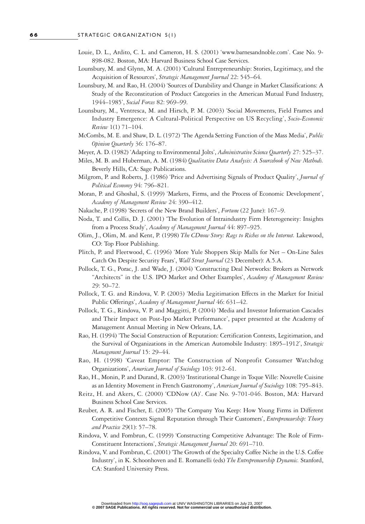- Louie, D. L., Ardito, C. L. and Cameron, H. S. (2001) 'www.barnesandnoble.com'. Case No. 9- 898-082. Boston, MA: Harvard Business School Case Services.
- Lounsbury, M. and Glynn, M. A. (2001) 'Cultural Entrepreneurship: Stories, Legitimacy, and the Acquisition of Resources', *Strategic Management Journal* 22: 545–64.
- Lounsbury, M. and Rao, H. (2004) 'Sources of Durability and Change in Market Classifications: A Study of the Reconstitution of Product Categories in the American Mutual Fund Industry, 1944–1985', *Social Forces* 82: 969–99.
- Lounsbury, M., Ventresca, M. and Hirsch, P. M. (2003) 'Social Movements, Field Frames and Industry Emergence: A Cultural-Political Perspective on US Recycling', *Socio-Economic Review* 1(1) 71–104.
- McCombs, M. E. and Shaw, D. L. (1972) 'The Agenda Setting Function of the Mass Media', *Public Opinion Quarterly* 36: 176–87.
- Meyer, A. D. (1982) 'Adapting to Environmental Jolts', *Administrative Science Quarterly* 27: 525–37.
- Miles, M. B. and Huberman, A. M. (1984) *Qualitative Data Analysis: A Sourcebook of New Methods.* Beverly Hills, CA: Sage Publications.
- Milgrom, P. and Roberts, J. (1986) 'Price and Advertising Signals of Product Quality', *Journal of Political Economy* 94: 796–821.
- Moran, P. and Ghoshal, S. (1999) 'Markets, Firms, and the Process of Economic Development', *Academy of Management Review* 24: 390–412.
- Nakache, P. (1998) 'Secrets of the New Brand Builders', *Fortune* (22 June): 167–9.
- Noda, T. and Collis, D. J. (2001) 'The Evolution of Intraindustry Firm Heterogeneity: Insights from a Process Study', *Academy of Management Journal* 44: 897–925.
- Olim, J., Olim, M. and Kent, P. (1998) *The CDnow Story: Rags to Riches on the Internet.* Lakewood, CO: Top Floor Publishing.
- Plitch, P. and Fleetwood, C. (1996) 'More Yule Shoppers Skip Malls for Net On-Line Sales Catch On Despite Security Fears', *Wall Street Journal* (23 December): A.5.A.
- Pollock, T. G., Porac, J. and Wade, J. (2004) 'Constructing Deal Networks: Brokers as Network "Architects" in the U.S. IPO Market and Other Examples', *Academy of Management Review* 29: 50–72.
- Pollock, T. G. and Rindova, V. P. (2003) 'Media Legitimation Effects in the Market for Initial Public Offerings', *Academy of Management Journal* 46: 631–42.
- Pollock, T. G., Rindova, V. P. and Maggitti, P. (2004) 'Media and Investor Information Cascades and Their Impact on Post-Ipo Market Performance', paper presented at the Academy of Management Annual Meeting in New Orleans, LA.
- Rao, H. (1994) 'The Social Construction of Reputation: Certification Contests, Legitimation, and the Survival of Organizations in the American Automobile Industry: 1895–1912', *Strategic Management Journal* 15: 29–44.
- Rao, H. (1998) 'Caveat Emptor: The Construction of Nonprofit Consumer Watchdog Organizations', *American Journal of Sociology* 103: 912–61.
- Rao, H., Monin, P. and Durand, R. (2003) 'Institutional Change in Toque Ville: Nouvelle Cuisine as an Identity Movement in French Gastronomy', *American Journal of Sociology* 108: 795–843.
- Reitz, H. and Akers, C. (2000) 'CDNow (A)'. Case No. 9-701-046. Boston, MA: Harvard Business School Case Services.
- Reuber, A. R. and Fischer, E. (2005) 'The Company You Keep: How Young Firms in Different Competitive Contexts Signal Reputation through Their Customers', *Entrepreneurship: Theory and Practice* 29(1): 57–78.
- Rindova, V. and Fombrun, C. (1999) 'Constructing Competitive Advantage: The Role of Firm-Constituent Interactions', *Strategic Management Journal* 20: 691–710.
- Rindova, V. and Fombrun, C. (2001) 'The Growth of the Specialty Coffee Niche in the U.S. Coffee Industry', in K. Schoonhoven and E. Romanelli (eds) *The Entrepreneurship Dynamic.* Stanford, CA: Stanford University Press.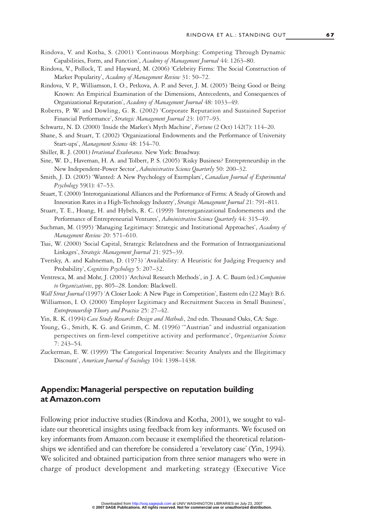- Rindova, V. and Kotha, S. (2001) 'Continuous Morphing: Competing Through Dynamic Capabilities, Form, and Function', *Academy of Management Journal* 44: 1263–80.
- Rindova, V., Pollock, T. and Hayward, M. (2006) 'Celebrity Firms: The Social Construction of Market Popularity', *Academy of Management Review* 31: 50–72.
- Rindova, V. P., Williamson, I. O., Petkova, A. P. and Sever, J. M. (2005) 'Being Good or Being Known: An Empirical Examination of the Dimensions, Antecedents, and Consequences of Organizational Reputation', *Academy of Management Journal* 48: 1033–49.
- Roberts, P. W. and Dowling, G. R. (2002) 'Corporate Reputation and Sustained Superior Financial Performance', *Strategic Management Journal* 23: 1077–93.
- Schwartz, N. D. (2000) 'Inside the Market's Myth Machine', *Fortune* (2 Oct) 142(7): 114–20.
- Shane, S. and Stuart, T. (2002) 'Organizational Endowments and the Performance of University Start-ups', *Management Science* 48: 154–70.
- Shiller, R. J. (2001) *Irrational Exuberance.* New York: Broadway.
- Sine, W. D., Haveman, H. A. and Tolbert, P. S. (2005) 'Risky Business? Entrepreneurship in the New Independent-Power Sector', *Administrative Science Quarterly* 50: 200–32.
- Smith, J. D. (2005) 'Wanted: A New Psychology of Exemplars', *Canadian Journal of Experimental Psychology* 59(1): 47–53.
- Stuart, T. (2000) 'Interorganizational Alliances and the Performance of Firms: A Study of Growth and Innovation Rates in a High-Technology Industry', *Strategic Management Journal* 21: 791–811.
- Stuart, T. E., Hoang, H. and Hybels, R. C. (1999) 'Interorganizational Endorsements and the Performance of Entrepreneurial Ventures', *Administrative Science Quarterly* 44: 315–49.
- Suchman, M. (1995) 'Managing Legitimacy: Strategic and Institutional Approaches', *Academy of Management Review* 20: 571–610.
- Tsai, W. (2000) 'Social Capital, Strategic Relatedness and the Formation of Intraorganizational Linkages', *Strategic Management Journal* 21: 925–39.
- Tversky, A. and Kahneman, D. (1973) 'Availability: A Heuristic for Judging Frequency and Probability', *Cognitive Psychology* 5: 207–32.
- Ventresca, M. and Mohr, J. (2001) 'Archival Research Methods', in J. A. C. Baum (ed.) *Companion to Organizations*, pp. 805–28. London: Blackwell.
- *Wall Street Journal* (1997) 'A Closer Look: A New Page in Competition', Eastern edn (22 May): B.6.
- Williamson, I. O. (2000) 'Employer Legitimacy and Recruitment Success in Small Business', *Entrepreneurship Theory and Practice* 25: 27–42.
- Yin, R. K. (1994) *Case Study Research: Design and Methods*, 2nd edn. Thousand Oaks, CA: Sage.
- Young, G., Smith, K. G. and Grimm, C. M. (1996) '"Austrian" and industrial organization perspectives on firm-level competitive activity and performance', *Organization Science* 7: 243–54.
- Zuckerman, E. W. (1999) 'The Categorical Imperative: Security Analysts and the Illegitimacy Discount', *American Journal of Sociology* 104: 1398–1438.

#### **Appendix: Managerial perspective on reputation building at Amazon.com**

Following prior inductive studies (Rindova and Kotha, 2001), we sought to validate our theoretical insights using feedback from key informants. We focused on key informants from Amazon.com because it exemplified the theoretical relationships we identified and can therefore be considered a 'revelatory case' (Yin, 1994). We solicited and obtained participation from three senior managers who were in charge of product development and marketing strategy (Executive Vice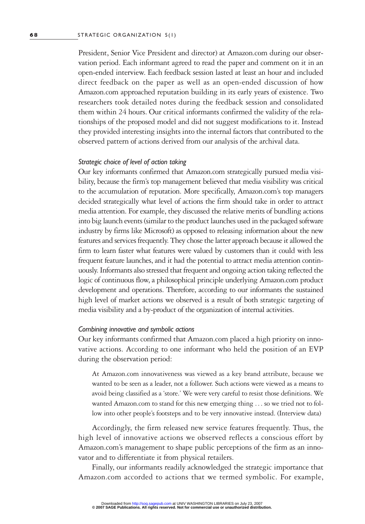#### **68** STRATEGIC ORGANIZATION 5(1)

President, Senior Vice President and director) at Amazon.com during our observation period. Each informant agreed to read the paper and comment on it in an open-ended interview. Each feedback session lasted at least an hour and included direct feedback on the paper as well as an open-ended discussion of how Amazon.com approached reputation building in its early years of existence. Two researchers took detailed notes during the feedback session and consolidated them within 24 hours. Our critical informants confirmed the validity of the relationships of the proposed model and did not suggest modifications to it. Instead they provided interesting insights into the internal factors that contributed to the observed pattern of actions derived from our analysis of the archival data.

#### *Strategic choice of level of action taking*

Our key informants confirmed that Amazon.com strategically pursued media visibility, because the firm's top management believed that media visibility was critical to the accumulation of reputation. More specifically, Amazon.com's top managers decided strategically what level of actions the firm should take in order to attract media attention. For example, they discussed the relative merits of bundling actions into big launch events (similar to the product launches used in the packaged software industry by firms like Microsoft) as opposed to releasing information about the new features and services frequently. They chose the latter approach because it allowed the firm to learn faster what features were valued by customers than it could with less frequent feature launches, and it had the potential to attract media attention continuously. Informants also stressed that frequent and ongoing action taking reflected the logic of continuous flow, a philosophical principle underlying Amazon.com product development and operations. Therefore, according to our informants the sustained high level of market actions we observed is a result of both strategic targeting of media visibility and a by-product of the organization of internal activities.

#### *Combining innovative and symbolic actions*

Our key informants confirmed that Amazon.com placed a high priority on innovative actions. According to one informant who held the position of an EVP during the observation period:

At Amazon.com innovativeness was viewed as a key brand attribute, because we wanted to be seen as a leader, not a follower. Such actions were viewed as a means to avoid being classified as a 'store.' We were very careful to resist those definitions. We wanted Amazon.com to stand for this new emerging thing . . . so we tried not to follow into other people's footsteps and to be very innovative instead. (Interview data)

Accordingly, the firm released new service features frequently. Thus, the high level of innovative actions we observed reflects a conscious effort by Amazon.com's management to shape public perceptions of the firm as an innovator and to differentiate it from physical retailers.

Finally, our informants readily acknowledged the strategic importance that Amazon.com accorded to actions that we termed symbolic. For example,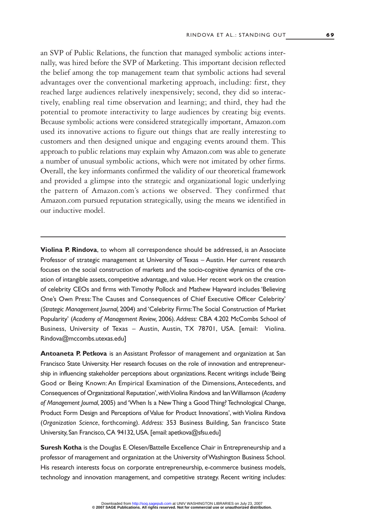an SVP of Public Relations, the function that managed symbolic actions internally, was hired before the SVP of Marketing. This important decision reflected the belief among the top management team that symbolic actions had several advantages over the conventional marketing approach, including: first, they reached large audiences relatively inexpensively; second, they did so interactively, enabling real time observation and learning; and third, they had the potential to promote interactivity to large audiences by creating big events. Because symbolic actions were considered strategically important, Amazon.com used its innovative actions to figure out things that are really interesting to customers and then designed unique and engaging events around them. This approach to public relations may explain why Amazon.com was able to generate a number of unusual symbolic actions, which were not imitated by other firms. Overall, the key informants confirmed the validity of our theoretical framework and provided a glimpse into the strategic and organizational logic underlying the pattern of Amazon.com's actions we observed. They confirmed that Amazon.com pursued reputation strategically, using the means we identified in our inductive model.

**Violina P. Rindova**, to whom all correspondence should be addressed, is an Associate Professor of strategic management at University of Texas – Austin. Her current research focuses on the social construction of markets and the socio-cognitive dynamics of the creation of intangible assets, competitive advantage, and value. Her recent work on the creation of celebrity CEOs and firms with Timothy Pollock and Mathew Hayward includes 'Believing One's Own Press:The Causes and Consequences of Chief Executive Officer Celebrity' (*Strategic Management Journal,* 2004) and 'Celebrity Firms:The Social Construction of Market Popularity' (*Academy of Management Review,* 2006). *Address:* CBA 4.202 McCombs School of Business, University of Texas – Austin, Austin, TX 78701, USA. [email: Violina. Rindova@mccombs.utexas.edu]

**Antoaneta P. Petkova** is an Assistant Professor of management and organization at San Francisco State University. Her research focuses on the role of innovation and entrepreneurship in influencing stakeholder perceptions about organizations. Recent writings include 'Being Good or Being Known: An Empirical Examination of the Dimensions, Antecedents, and Consequences of Organizational Reputation',with Violina Rindova and Ian Williamson (*Academy of Management Journal*, 2005) and 'When Is a New Thing a Good Thing? Technological Change, Product Form Design and Perceptions of Value for Product Innovations', with Violina Rindova (*Organization Science*, forthcoming). *Address:* 353 Business Building, San francisco State University, San Francisco, CA 94132, USA. [email: apetkova@sfsu.edu]

**Suresh Kotha** is the Douglas E. Olesen/Battelle Excellence Chair in Entrepreneurship and a professor of management and organization at the University of Washington Business School. His research interests focus on corporate entrepreneurship, e-commerce business models, technology and innovation management, and competitive strategy. Recent writing includes: